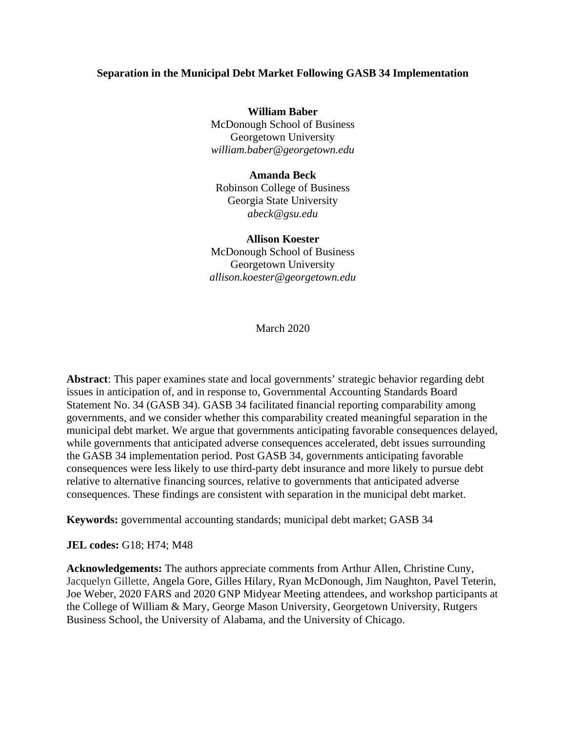### **Separation in the Municipal Debt Market Following GASB 34 Implementation**

**William Baber** McDonough School of Business Georgetown University *william.baber@georgetown.edu*

### **Amanda Beck**

Robinson College of Business Georgia State University *abeck@gsu.edu*

#### **Allison Koester**

McDonough School of Business Georgetown University *allison.koester@georgetown.edu*

March 2020

**Abstract**: This paper examines state and local governments' strategic behavior regarding debt issues in anticipation of, and in response to, Governmental Accounting Standards Board Statement No. 34 (GASB 34). GASB 34 facilitated financial reporting comparability among governments, and we consider whether this comparability created meaningful separation in the municipal debt market. We argue that governments anticipating favorable consequences delayed, while governments that anticipated adverse consequences accelerated, debt issues surrounding the GASB 34 implementation period. Post GASB 34, governments anticipating favorable consequences were less likely to use third-party debt insurance and more likely to pursue debt relative to alternative financing sources, relative to governments that anticipated adverse consequences. These findings are consistent with separation in the municipal debt market.

**Keywords:** governmental accounting standards; municipal debt market; GASB 34

**JEL codes:** G18; H74; M48

**Acknowledgements:** The authors appreciate comments from Arthur Allen, Christine Cuny, Jacquelyn Gillette, Angela Gore, Gilles Hilary, Ryan McDonough, Jim Naughton, Pavel Teterin, Joe Weber, 2020 FARS and 2020 GNP Midyear Meeting attendees, and workshop participants at the College of William & Mary, George Mason University, Georgetown University, Rutgers Business School, the University of Alabama, and the University of Chicago.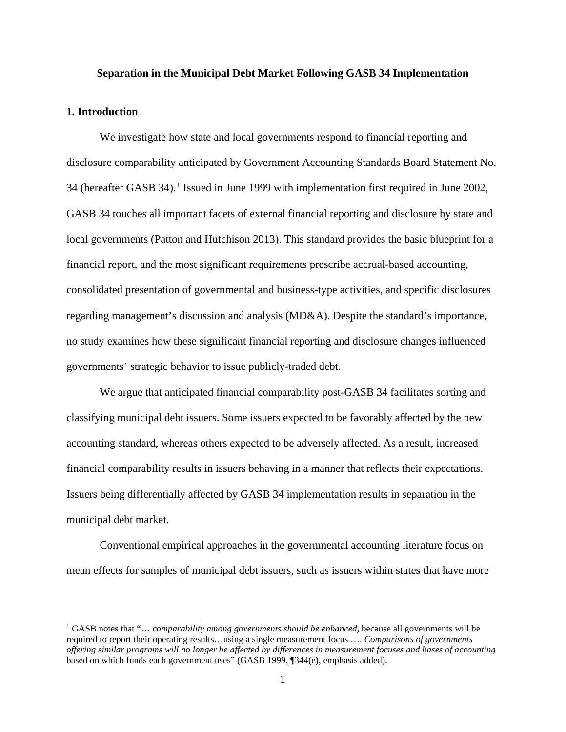#### **Separation in the Municipal Debt Market Following GASB 34 Implementation**

### **1. Introduction**

l

We investigate how state and local governments respond to financial reporting and disclosure comparability anticipated by Government Accounting Standards Board Statement No. 34 (hereafter GASB 34).<sup>[1](#page-1-0)</sup> Issued in June 1999 with implementation first required in June 2002, GASB 34 touches all important facets of external financial reporting and disclosure by state and local governments (Patton and Hutchison 2013). This standard provides the basic blueprint for a financial report, and the most significant requirements prescribe accrual-based accounting, consolidated presentation of governmental and business-type activities, and specific disclosures regarding management's discussion and analysis (MD&A). Despite the standard's importance, no study examines how these significant financial reporting and disclosure changes influenced governments' strategic behavior to issue publicly-traded debt.

We argue that anticipated financial comparability post-GASB 34 facilitates sorting and classifying municipal debt issuers. Some issuers expected to be favorably affected by the new accounting standard, whereas others expected to be adversely affected. As a result, increased financial comparability results in issuers behaving in a manner that reflects their expectations. Issuers being differentially affected by GASB 34 implementation results in separation in the municipal debt market.

Conventional empirical approaches in the governmental accounting literature focus on mean effects for samples of municipal debt issuers, such as issuers within states that have more

<span id="page-1-0"></span><sup>&</sup>lt;sup>1</sup> GASB notes that "... *comparability among governments should be enhanced*, because all governments will be required to report their operating results…using a single measurement focus …. *Comparisons of governments offering similar programs will no longer be affected by differences in measurement focuses and bases of accounting* based on which funds each government uses" (GASB 1999, ¶344(e), emphasis added).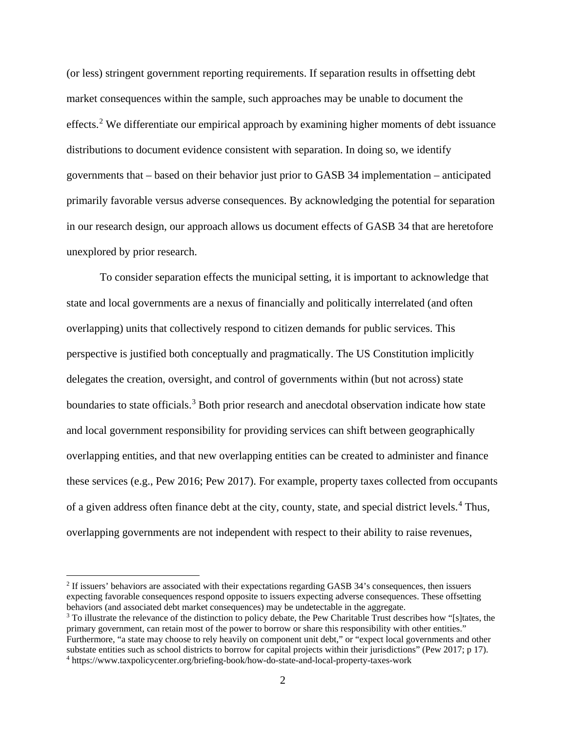(or less) stringent government reporting requirements. If separation results in offsetting debt market consequences within the sample, such approaches may be unable to document the effects.<sup>[2](#page-2-0)</sup> We differentiate our empirical approach by examining higher moments of debt issuance distributions to document evidence consistent with separation. In doing so, we identify governments that – based on their behavior just prior to GASB 34 implementation – anticipated primarily favorable versus adverse consequences. By acknowledging the potential for separation in our research design, our approach allows us document effects of GASB 34 that are heretofore unexplored by prior research.

To consider separation effects the municipal setting, it is important to acknowledge that state and local governments are a nexus of financially and politically interrelated (and often overlapping) units that collectively respond to citizen demands for public services. This perspective is justified both conceptually and pragmatically. The US Constitution implicitly delegates the creation, oversight, and control of governments within (but not across) state boundaries to state officials.<sup>[3](#page-2-1)</sup> Both prior research and anecdotal observation indicate how state and local government responsibility for providing services can shift between geographically overlapping entities, and that new overlapping entities can be created to administer and finance these services (e.g., Pew 2016; Pew 2017). For example, property taxes collected from occupants of a given address often finance debt at the city, county, state, and special district levels.[4](#page-2-2) Thus, overlapping governments are not independent with respect to their ability to raise revenues,

 $\overline{\phantom{a}}$ 

<span id="page-2-0"></span><sup>2</sup> If issuers' behaviors are associated with their expectations regarding GASB 34's consequences, then issuers expecting favorable consequences respond opposite to issuers expecting adverse consequences. These offsetting behaviors (and associated debt market consequences) may be undetectable in the aggregate.

<span id="page-2-2"></span><span id="page-2-1"></span><sup>&</sup>lt;sup>3</sup> To illustrate the relevance of the distinction to policy debate, the Pew Charitable Trust describes how "[s]tates, the primary government, can retain most of the power to borrow or share this responsibility with other entities." Furthermore, "a state may choose to rely heavily on component unit debt," or "expect local governments and other substate entities such as school districts to borrow for capital projects within their jurisdictions" (Pew 2017; p 17). <sup>4</sup> https://www.taxpolicycenter.org/briefing-book/how-do-state-and-local-property-taxes-work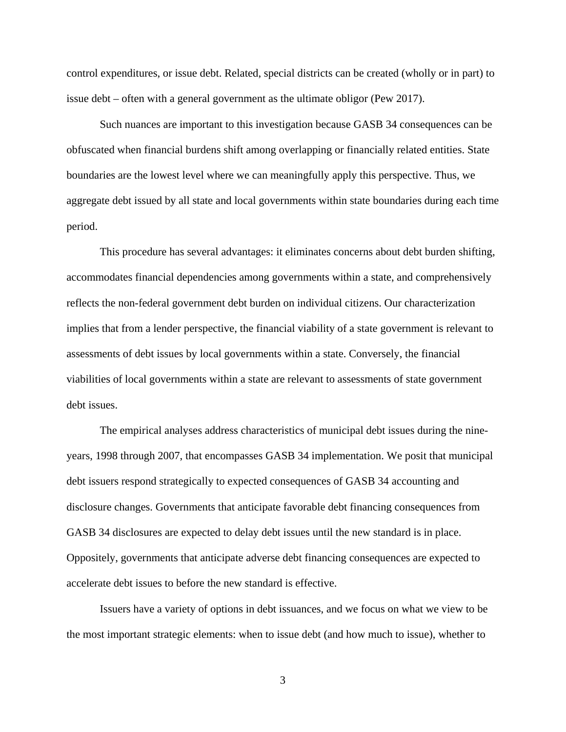control expenditures, or issue debt. Related, special districts can be created (wholly or in part) to issue debt – often with a general government as the ultimate obligor (Pew 2017).

Such nuances are important to this investigation because GASB 34 consequences can be obfuscated when financial burdens shift among overlapping or financially related entities. State boundaries are the lowest level where we can meaningfully apply this perspective. Thus, we aggregate debt issued by all state and local governments within state boundaries during each time period.

This procedure has several advantages: it eliminates concerns about debt burden shifting, accommodates financial dependencies among governments within a state, and comprehensively reflects the non-federal government debt burden on individual citizens. Our characterization implies that from a lender perspective, the financial viability of a state government is relevant to assessments of debt issues by local governments within a state. Conversely, the financial viabilities of local governments within a state are relevant to assessments of state government debt issues.

The empirical analyses address characteristics of municipal debt issues during the nineyears, 1998 through 2007, that encompasses GASB 34 implementation. We posit that municipal debt issuers respond strategically to expected consequences of GASB 34 accounting and disclosure changes. Governments that anticipate favorable debt financing consequences from GASB 34 disclosures are expected to delay debt issues until the new standard is in place. Oppositely, governments that anticipate adverse debt financing consequences are expected to accelerate debt issues to before the new standard is effective.

Issuers have a variety of options in debt issuances, and we focus on what we view to be the most important strategic elements: when to issue debt (and how much to issue), whether to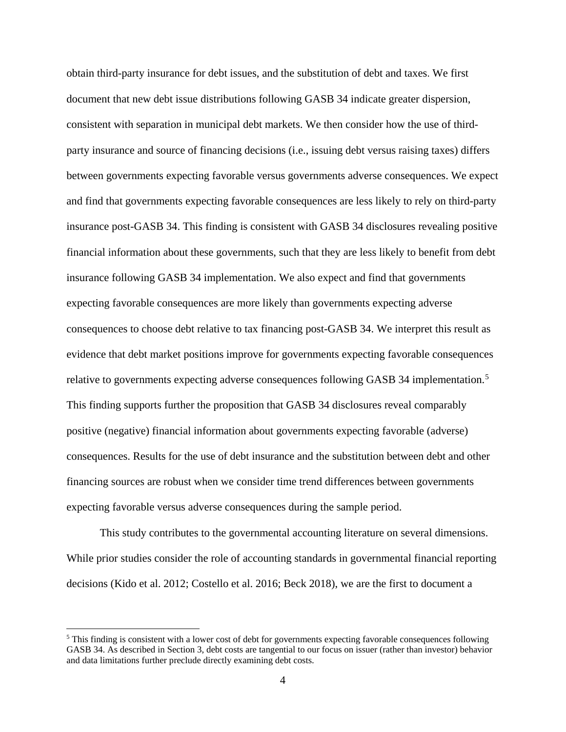obtain third-party insurance for debt issues, and the substitution of debt and taxes. We first document that new debt issue distributions following GASB 34 indicate greater dispersion, consistent with separation in municipal debt markets. We then consider how the use of thirdparty insurance and source of financing decisions (i.e., issuing debt versus raising taxes) differs between governments expecting favorable versus governments adverse consequences. We expect and find that governments expecting favorable consequences are less likely to rely on third-party insurance post-GASB 34. This finding is consistent with GASB 34 disclosures revealing positive financial information about these governments, such that they are less likely to benefit from debt insurance following GASB 34 implementation. We also expect and find that governments expecting favorable consequences are more likely than governments expecting adverse consequences to choose debt relative to tax financing post-GASB 34. We interpret this result as evidence that debt market positions improve for governments expecting favorable consequences relative to governments expecting adverse consequences following GASB 34 implementation.<sup>[5](#page-4-0)</sup> This finding supports further the proposition that GASB 34 disclosures reveal comparably positive (negative) financial information about governments expecting favorable (adverse) consequences. Results for the use of debt insurance and the substitution between debt and other financing sources are robust when we consider time trend differences between governments expecting favorable versus adverse consequences during the sample period.

This study contributes to the governmental accounting literature on several dimensions. While prior studies consider the role of accounting standards in governmental financial reporting decisions (Kido et al. 2012; Costello et al. 2016; Beck 2018), we are the first to document a

 $\overline{a}$ 

<span id="page-4-0"></span><sup>&</sup>lt;sup>5</sup> This finding is consistent with a lower cost of debt for governments expecting favorable consequences following GASB 34. As described in Section 3, debt costs are tangential to our focus on issuer (rather than investor) behavior and data limitations further preclude directly examining debt costs.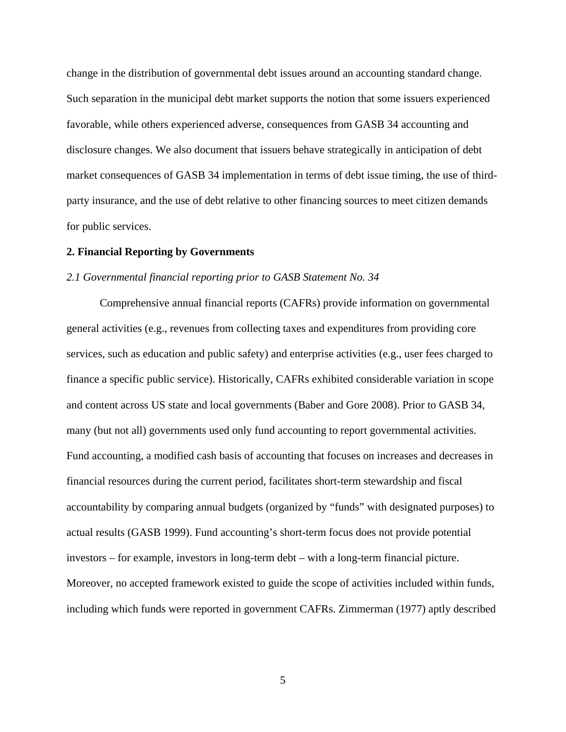change in the distribution of governmental debt issues around an accounting standard change. Such separation in the municipal debt market supports the notion that some issuers experienced favorable, while others experienced adverse, consequences from GASB 34 accounting and disclosure changes. We also document that issuers behave strategically in anticipation of debt market consequences of GASB 34 implementation in terms of debt issue timing, the use of thirdparty insurance, and the use of debt relative to other financing sources to meet citizen demands for public services.

### **2. Financial Reporting by Governments**

#### *2.1 Governmental financial reporting prior to GASB Statement No. 34*

Comprehensive annual financial reports (CAFRs) provide information on governmental general activities (e.g., revenues from collecting taxes and expenditures from providing core services, such as education and public safety) and enterprise activities (e.g., user fees charged to finance a specific public service). Historically, CAFRs exhibited considerable variation in scope and content across US state and local governments (Baber and Gore 2008). Prior to GASB 34, many (but not all) governments used only fund accounting to report governmental activities. Fund accounting, a modified cash basis of accounting that focuses on increases and decreases in financial resources during the current period, facilitates short-term stewardship and fiscal accountability by comparing annual budgets (organized by "funds" with designated purposes) to actual results (GASB 1999). Fund accounting's short-term focus does not provide potential investors – for example, investors in long-term debt – with a long-term financial picture. Moreover, no accepted framework existed to guide the scope of activities included within funds, including which funds were reported in government CAFRs. Zimmerman (1977) aptly described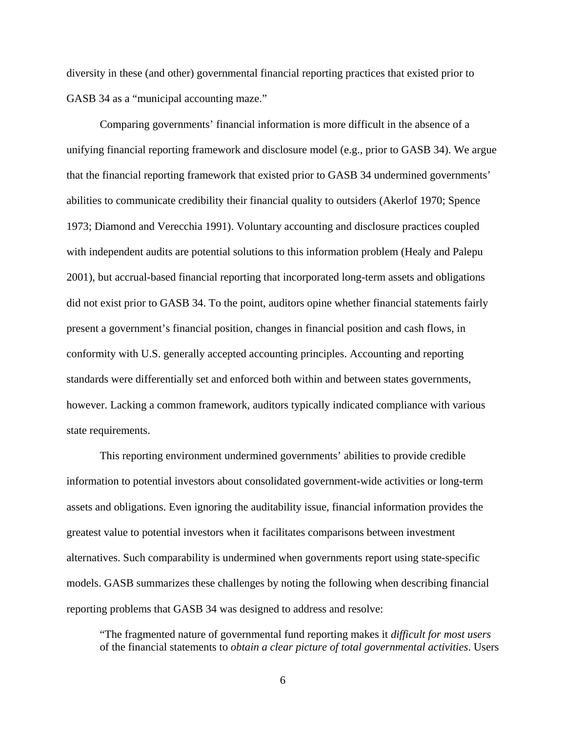diversity in these (and other) governmental financial reporting practices that existed prior to GASB 34 as a "municipal accounting maze."

Comparing governments' financial information is more difficult in the absence of a unifying financial reporting framework and disclosure model (e.g., prior to GASB 34). We argue that the financial reporting framework that existed prior to GASB 34 undermined governments' abilities to communicate credibility their financial quality to outsiders (Akerlof 1970; Spence 1973; Diamond and Verecchia 1991). Voluntary accounting and disclosure practices coupled with independent audits are potential solutions to this information problem (Healy and Palepu 2001), but accrual-based financial reporting that incorporated long-term assets and obligations did not exist prior to GASB 34. To the point, auditors opine whether financial statements fairly present a government's financial position, changes in financial position and cash flows, in conformity with U.S. generally accepted accounting principles. Accounting and reporting standards were differentially set and enforced both within and between states governments, however. Lacking a common framework, auditors typically indicated compliance with various state requirements.

This reporting environment undermined governments' abilities to provide credible information to potential investors about consolidated government-wide activities or long-term assets and obligations. Even ignoring the auditability issue, financial information provides the greatest value to potential investors when it facilitates comparisons between investment alternatives. Such comparability is undermined when governments report using state-specific models. GASB summarizes these challenges by noting the following when describing financial reporting problems that GASB 34 was designed to address and resolve:

"The fragmented nature of governmental fund reporting makes it *difficult for most users* of the financial statements to *obtain a clear picture of total governmental activities*. Users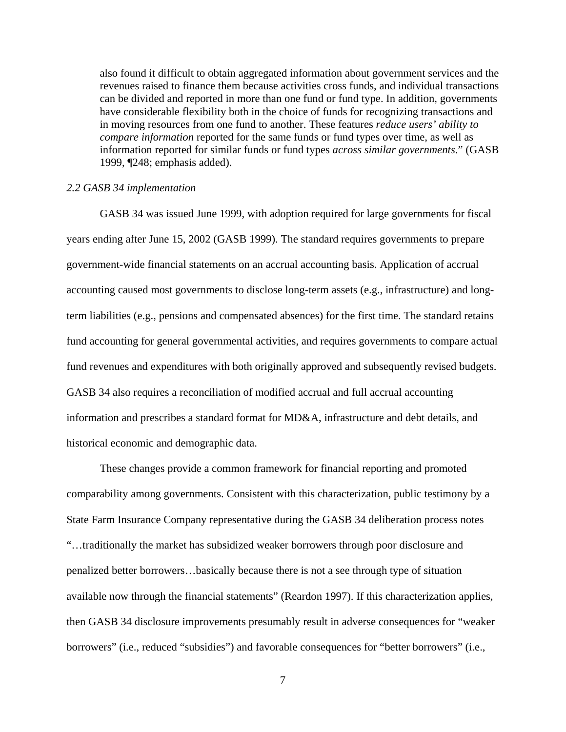also found it difficult to obtain aggregated information about government services and the revenues raised to finance them because activities cross funds, and individual transactions can be divided and reported in more than one fund or fund type. In addition, governments have considerable flexibility both in the choice of funds for recognizing transactions and in moving resources from one fund to another. These features *reduce users' ability to compare information* reported for the same funds or fund types over time, as well as information reported for similar funds or fund types *across similar governments*." (GASB 1999, ¶248; emphasis added).

#### *2.2 GASB 34 implementation*

GASB 34 was issued June 1999, with adoption required for large governments for fiscal years ending after June 15, 2002 (GASB 1999). The standard requires governments to prepare government-wide financial statements on an accrual accounting basis. Application of accrual accounting caused most governments to disclose long-term assets (e.g., infrastructure) and longterm liabilities (e.g., pensions and compensated absences) for the first time. The standard retains fund accounting for general governmental activities, and requires governments to compare actual fund revenues and expenditures with both originally approved and subsequently revised budgets. GASB 34 also requires a reconciliation of modified accrual and full accrual accounting information and prescribes a standard format for MD&A, infrastructure and debt details, and historical economic and demographic data.

These changes provide a common framework for financial reporting and promoted comparability among governments. Consistent with this characterization, public testimony by a State Farm Insurance Company representative during the GASB 34 deliberation process notes "…traditionally the market has subsidized weaker borrowers through poor disclosure and penalized better borrowers…basically because there is not a see through type of situation available now through the financial statements" (Reardon 1997). If this characterization applies, then GASB 34 disclosure improvements presumably result in adverse consequences for "weaker borrowers" (i.e., reduced "subsidies") and favorable consequences for "better borrowers" (i.e.,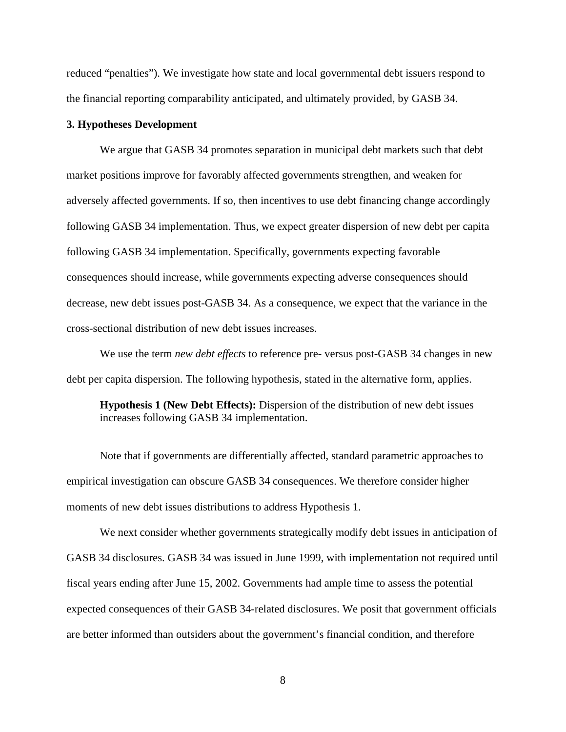reduced "penalties"). We investigate how state and local governmental debt issuers respond to the financial reporting comparability anticipated, and ultimately provided, by GASB 34.

### **3. Hypotheses Development**

We argue that GASB 34 promotes separation in municipal debt markets such that debt market positions improve for favorably affected governments strengthen, and weaken for adversely affected governments. If so, then incentives to use debt financing change accordingly following GASB 34 implementation. Thus, we expect greater dispersion of new debt per capita following GASB 34 implementation. Specifically, governments expecting favorable consequences should increase, while governments expecting adverse consequences should decrease, new debt issues post-GASB 34. As a consequence, we expect that the variance in the cross-sectional distribution of new debt issues increases.

We use the term *new debt effects* to reference pre- versus post-GASB 34 changes in new debt per capita dispersion. The following hypothesis, stated in the alternative form, applies.

**Hypothesis 1 (New Debt Effects):** Dispersion of the distribution of new debt issues increases following GASB 34 implementation.

Note that if governments are differentially affected, standard parametric approaches to empirical investigation can obscure GASB 34 consequences. We therefore consider higher moments of new debt issues distributions to address Hypothesis 1.

We next consider whether governments strategically modify debt issues in anticipation of GASB 34 disclosures. GASB 34 was issued in June 1999, with implementation not required until fiscal years ending after June 15, 2002. Governments had ample time to assess the potential expected consequences of their GASB 34-related disclosures. We posit that government officials are better informed than outsiders about the government's financial condition, and therefore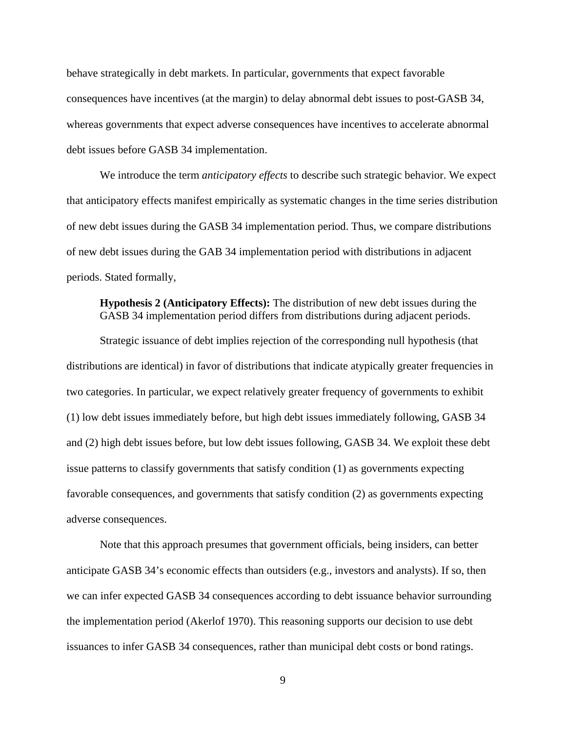behave strategically in debt markets. In particular, governments that expect favorable consequences have incentives (at the margin) to delay abnormal debt issues to post-GASB 34, whereas governments that expect adverse consequences have incentives to accelerate abnormal debt issues before GASB 34 implementation.

We introduce the term *anticipatory effects* to describe such strategic behavior. We expect that anticipatory effects manifest empirically as systematic changes in the time series distribution of new debt issues during the GASB 34 implementation period. Thus, we compare distributions of new debt issues during the GAB 34 implementation period with distributions in adjacent periods. Stated formally,

**Hypothesis 2 (Anticipatory Effects):** The distribution of new debt issues during the GASB 34 implementation period differs from distributions during adjacent periods.

Strategic issuance of debt implies rejection of the corresponding null hypothesis (that distributions are identical) in favor of distributions that indicate atypically greater frequencies in two categories. In particular, we expect relatively greater frequency of governments to exhibit (1) low debt issues immediately before, but high debt issues immediately following, GASB 34 and (2) high debt issues before, but low debt issues following, GASB 34. We exploit these debt issue patterns to classify governments that satisfy condition (1) as governments expecting favorable consequences, and governments that satisfy condition (2) as governments expecting adverse consequences.

Note that this approach presumes that government officials, being insiders, can better anticipate GASB 34's economic effects than outsiders (e.g., investors and analysts). If so, then we can infer expected GASB 34 consequences according to debt issuance behavior surrounding the implementation period (Akerlof 1970). This reasoning supports our decision to use debt issuances to infer GASB 34 consequences, rather than municipal debt costs or bond ratings.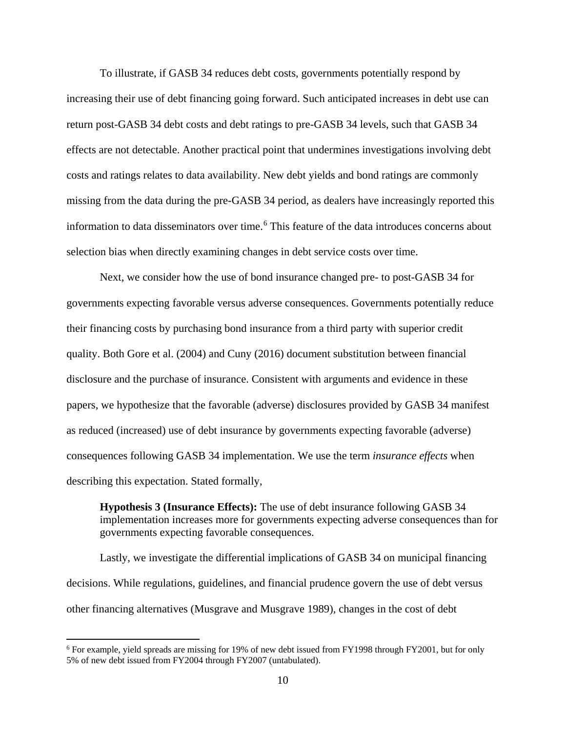To illustrate, if GASB 34 reduces debt costs, governments potentially respond by increasing their use of debt financing going forward. Such anticipated increases in debt use can return post-GASB 34 debt costs and debt ratings to pre-GASB 34 levels, such that GASB 34 effects are not detectable. Another practical point that undermines investigations involving debt costs and ratings relates to data availability. New debt yields and bond ratings are commonly missing from the data during the pre-GASB 34 period, as dealers have increasingly reported this information to data disseminators over time. [6](#page-10-0) This feature of the data introduces concerns about selection bias when directly examining changes in debt service costs over time.

Next, we consider how the use of bond insurance changed pre- to post-GASB 34 for governments expecting favorable versus adverse consequences. Governments potentially reduce their financing costs by purchasing bond insurance from a third party with superior credit quality. Both Gore et al. (2004) and Cuny (2016) document substitution between financial disclosure and the purchase of insurance. Consistent with arguments and evidence in these papers, we hypothesize that the favorable (adverse) disclosures provided by GASB 34 manifest as reduced (increased) use of debt insurance by governments expecting favorable (adverse) consequences following GASB 34 implementation. We use the term *insurance effects* when describing this expectation. Stated formally,

**Hypothesis 3 (Insurance Effects):** The use of debt insurance following GASB 34 implementation increases more for governments expecting adverse consequences than for governments expecting favorable consequences.

Lastly, we investigate the differential implications of GASB 34 on municipal financing decisions. While regulations, guidelines, and financial prudence govern the use of debt versus other financing alternatives (Musgrave and Musgrave 1989), changes in the cost of debt

 $\overline{\phantom{a}}$ 

<span id="page-10-0"></span><sup>&</sup>lt;sup>6</sup> For example, yield spreads are missing for 19% of new debt issued from FY1998 through FY2001, but for only 5% of new debt issued from FY2004 through FY2007 (untabulated).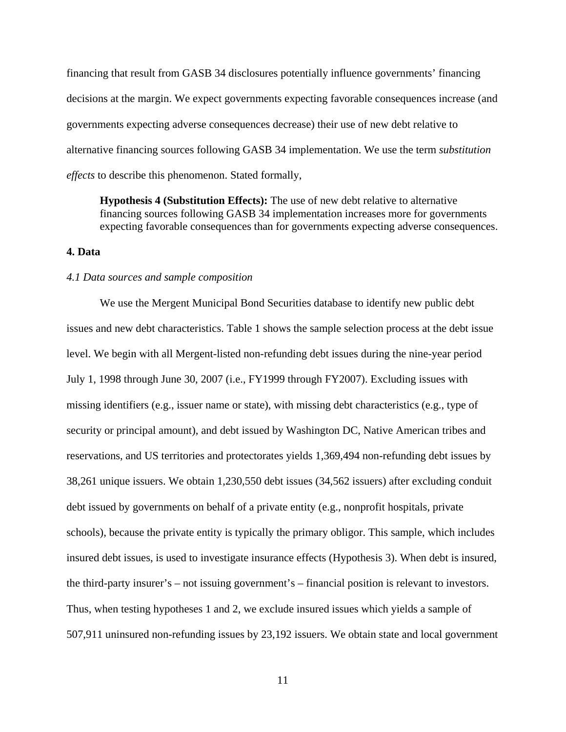financing that result from GASB 34 disclosures potentially influence governments' financing decisions at the margin. We expect governments expecting favorable consequences increase (and governments expecting adverse consequences decrease) their use of new debt relative to alternative financing sources following GASB 34 implementation. We use the term *substitution effects* to describe this phenomenon. Stated formally,

**Hypothesis 4 (Substitution Effects):** The use of new debt relative to alternative financing sources following GASB 34 implementation increases more for governments expecting favorable consequences than for governments expecting adverse consequences.

### **4. Data**

#### *4.1 Data sources and sample composition*

We use the Mergent Municipal Bond Securities database to identify new public debt issues and new debt characteristics. Table 1 shows the sample selection process at the debt issue level. We begin with all Mergent-listed non-refunding debt issues during the nine-year period July 1, 1998 through June 30, 2007 (i.e., FY1999 through FY2007). Excluding issues with missing identifiers (e.g., issuer name or state), with missing debt characteristics (e.g., type of security or principal amount), and debt issued by Washington DC, Native American tribes and reservations, and US territories and protectorates yields 1,369,494 non-refunding debt issues by 38,261 unique issuers. We obtain 1,230,550 debt issues (34,562 issuers) after excluding conduit debt issued by governments on behalf of a private entity (e.g., nonprofit hospitals, private schools), because the private entity is typically the primary obligor. This sample, which includes insured debt issues, is used to investigate insurance effects (Hypothesis 3). When debt is insured, the third-party insurer's – not issuing government's – financial position is relevant to investors. Thus, when testing hypotheses 1 and 2, we exclude insured issues which yields a sample of 507,911 uninsured non-refunding issues by 23,192 issuers. We obtain state and local government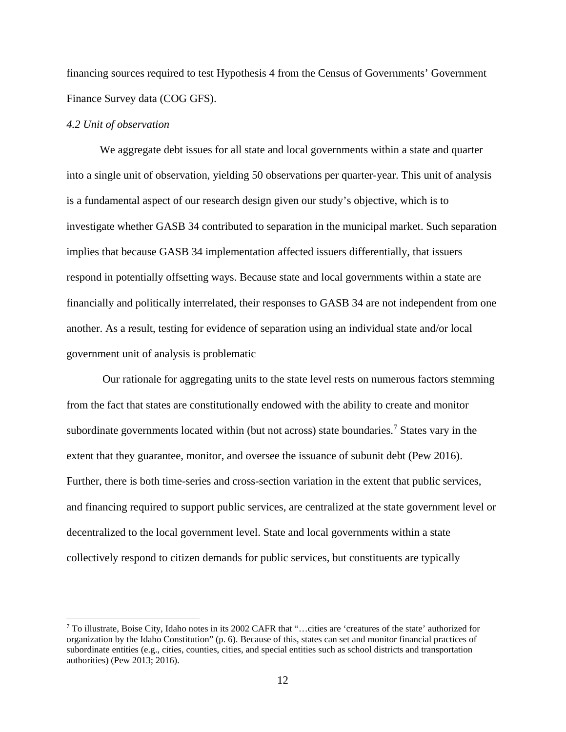financing sources required to test Hypothesis 4 from the Census of Governments' Government Finance Survey data (COG GFS).

#### *4.2 Unit of observation*

l

We aggregate debt issues for all state and local governments within a state and quarter into a single unit of observation, yielding 50 observations per quarter-year. This unit of analysis is a fundamental aspect of our research design given our study's objective, which is to investigate whether GASB 34 contributed to separation in the municipal market. Such separation implies that because GASB 34 implementation affected issuers differentially, that issuers respond in potentially offsetting ways. Because state and local governments within a state are financially and politically interrelated, their responses to GASB 34 are not independent from one another. As a result, testing for evidence of separation using an individual state and/or local government unit of analysis is problematic

Our rationale for aggregating units to the state level rests on numerous factors stemming from the fact that states are constitutionally endowed with the ability to create and monitor subordinate governments located within (but not across) state boundaries.<sup>[7](#page-12-0)</sup> States vary in the extent that they guarantee, monitor, and oversee the issuance of subunit debt (Pew 2016). Further, there is both time-series and cross-section variation in the extent that public services, and financing required to support public services, are centralized at the state government level or decentralized to the local government level. State and local governments within a state collectively respond to citizen demands for public services, but constituents are typically

<span id="page-12-0"></span><sup>7</sup> To illustrate, Boise City, Idaho notes in its 2002 CAFR that "…cities are 'creatures of the state' authorized for organization by the Idaho Constitution" (p. 6). Because of this, states can set and monitor financial practices of subordinate entities (e.g., cities, counties, cities, and special entities such as school districts and transportation authorities) (Pew 2013; 2016).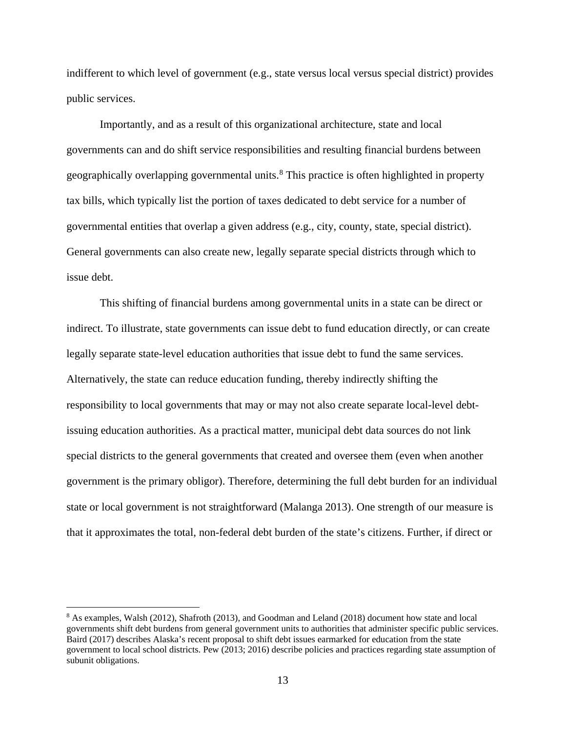indifferent to which level of government (e.g., state versus local versus special district) provides public services.

Importantly, and as a result of this organizational architecture, state and local governments can and do shift service responsibilities and resulting financial burdens between geographically overlapping governmental units.<sup>[8](#page-13-0)</sup> This practice is often highlighted in property tax bills, which typically list the portion of taxes dedicated to debt service for a number of governmental entities that overlap a given address (e.g., city, county, state, special district). General governments can also create new, legally separate special districts through which to issue debt.

This shifting of financial burdens among governmental units in a state can be direct or indirect. To illustrate, state governments can issue debt to fund education directly, or can create legally separate state-level education authorities that issue debt to fund the same services. Alternatively, the state can reduce education funding, thereby indirectly shifting the responsibility to local governments that may or may not also create separate local-level debtissuing education authorities. As a practical matter, municipal debt data sources do not link special districts to the general governments that created and oversee them (even when another government is the primary obligor). Therefore, determining the full debt burden for an individual state or local government is not straightforward (Malanga 2013). One strength of our measure is that it approximates the total, non-federal debt burden of the state's citizens. Further, if direct or

 $\overline{\phantom{a}}$ 

<span id="page-13-0"></span><sup>8</sup> As examples, Walsh (2012), Shafroth (2013), and Goodman and Leland (2018) document how state and local governments shift debt burdens from general government units to authorities that administer specific public services. Baird (2017) describes Alaska's recent proposal to shift debt issues earmarked for education from the state government to local school districts. Pew (2013; 2016) describe policies and practices regarding state assumption of subunit obligations.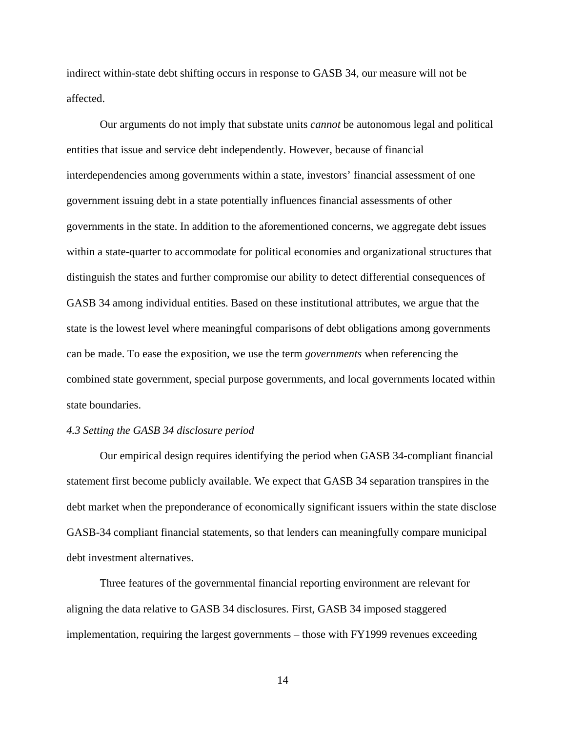indirect within-state debt shifting occurs in response to GASB 34, our measure will not be affected.

Our arguments do not imply that substate units *cannot* be autonomous legal and political entities that issue and service debt independently. However, because of financial interdependencies among governments within a state, investors' financial assessment of one government issuing debt in a state potentially influences financial assessments of other governments in the state. In addition to the aforementioned concerns, we aggregate debt issues within a state-quarter to accommodate for political economies and organizational structures that distinguish the states and further compromise our ability to detect differential consequences of GASB 34 among individual entities. Based on these institutional attributes, we argue that the state is the lowest level where meaningful comparisons of debt obligations among governments can be made. To ease the exposition, we use the term *governments* when referencing the combined state government, special purpose governments, and local governments located within state boundaries.

#### *4.3 Setting the GASB 34 disclosure period*

Our empirical design requires identifying the period when GASB 34-compliant financial statement first become publicly available. We expect that GASB 34 separation transpires in the debt market when the preponderance of economically significant issuers within the state disclose GASB-34 compliant financial statements, so that lenders can meaningfully compare municipal debt investment alternatives.

Three features of the governmental financial reporting environment are relevant for aligning the data relative to GASB 34 disclosures. First, GASB 34 imposed staggered implementation, requiring the largest governments – those with FY1999 revenues exceeding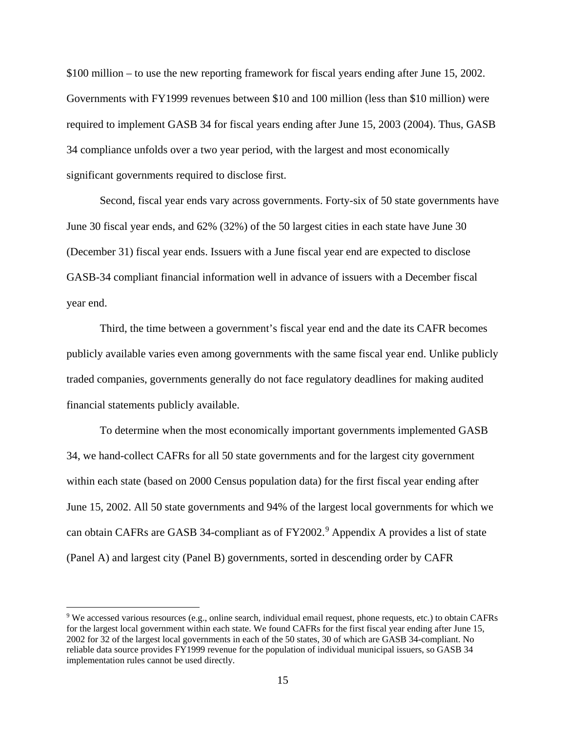\$100 million – to use the new reporting framework for fiscal years ending after June 15, 2002. Governments with FY1999 revenues between \$10 and 100 million (less than \$10 million) were required to implement GASB 34 for fiscal years ending after June 15, 2003 (2004). Thus, GASB 34 compliance unfolds over a two year period, with the largest and most economically significant governments required to disclose first.

Second, fiscal year ends vary across governments. Forty-six of 50 state governments have June 30 fiscal year ends, and 62% (32%) of the 50 largest cities in each state have June 30 (December 31) fiscal year ends. Issuers with a June fiscal year end are expected to disclose GASB-34 compliant financial information well in advance of issuers with a December fiscal year end.

Third, the time between a government's fiscal year end and the date its CAFR becomes publicly available varies even among governments with the same fiscal year end. Unlike publicly traded companies, governments generally do not face regulatory deadlines for making audited financial statements publicly available.

To determine when the most economically important governments implemented GASB 34, we hand-collect CAFRs for all 50 state governments and for the largest city government within each state (based on 2000 Census population data) for the first fiscal year ending after June 15, 2002. All 50 state governments and 94% of the largest local governments for which we can obtain CAFRs are GASB 34-compliant as of FY2002.<sup>[9](#page-15-0)</sup> Appendix A provides a list of state (Panel A) and largest city (Panel B) governments, sorted in descending order by CAFR

 $\overline{\phantom{a}}$ 

<span id="page-15-0"></span><sup>9</sup> We accessed various resources (e.g., online search, individual email request, phone requests, etc.) to obtain CAFRs for the largest local government within each state. We found CAFRs for the first fiscal year ending after June 15, 2002 for 32 of the largest local governments in each of the 50 states, 30 of which are GASB 34-compliant. No reliable data source provides FY1999 revenue for the population of individual municipal issuers, so GASB 34 implementation rules cannot be used directly.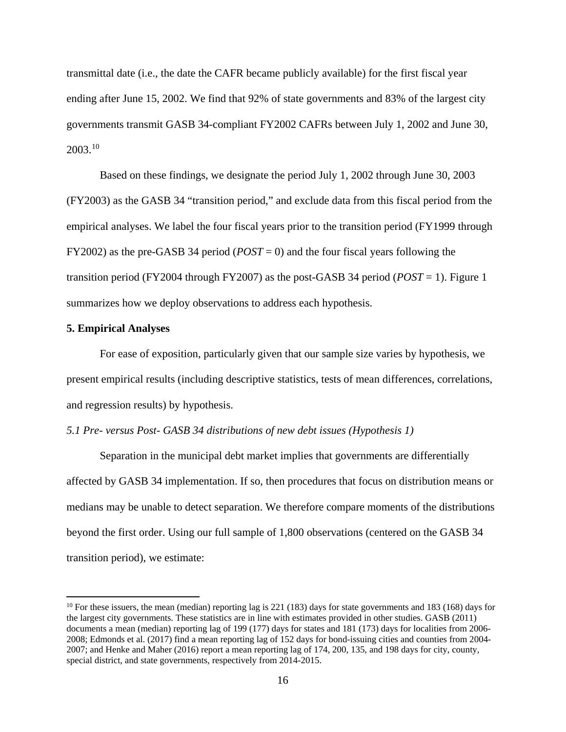transmittal date (i.e., the date the CAFR became publicly available) for the first fiscal year ending after June 15, 2002. We find that 92% of state governments and 83% of the largest city governments transmit GASB 34-compliant FY2002 CAFRs between July 1, 2002 and June 30, 2003.[10](#page-16-0)

Based on these findings, we designate the period July 1, 2002 through June 30, 2003 (FY2003) as the GASB 34 "transition period," and exclude data from this fiscal period from the empirical analyses. We label the four fiscal years prior to the transition period (FY1999 through FY2002) as the pre-GASB 34 period (*POST* = 0) and the four fiscal years following the transition period (FY2004 through FY2007) as the post-GASB 34 period (*POST* = 1). Figure 1 summarizes how we deploy observations to address each hypothesis.

### **5. Empirical Analyses**

 $\overline{a}$ 

For ease of exposition, particularly given that our sample size varies by hypothesis, we present empirical results (including descriptive statistics, tests of mean differences, correlations, and regression results) by hypothesis.

### *5.1 Pre- versus Post- GASB 34 distributions of new debt issues (Hypothesis 1)*

Separation in the municipal debt market implies that governments are differentially affected by GASB 34 implementation. If so, then procedures that focus on distribution means or medians may be unable to detect separation. We therefore compare moments of the distributions beyond the first order. Using our full sample of 1,800 observations (centered on the GASB 34 transition period), we estimate:

<span id="page-16-0"></span> $10$  For these issuers, the mean (median) reporting lag is 221 (183) days for state governments and 183 (168) days for the largest city governments. These statistics are in line with estimates provided in other studies. GASB (2011) documents a mean (median) reporting lag of 199 (177) days for states and 181 (173) days for localities from 2006- 2008; Edmonds et al. (2017) find a mean reporting lag of 152 days for bond-issuing cities and counties from 2004- 2007; and Henke and Maher (2016) report a mean reporting lag of 174, 200, 135, and 198 days for city, county, special district, and state governments, respectively from 2014-2015.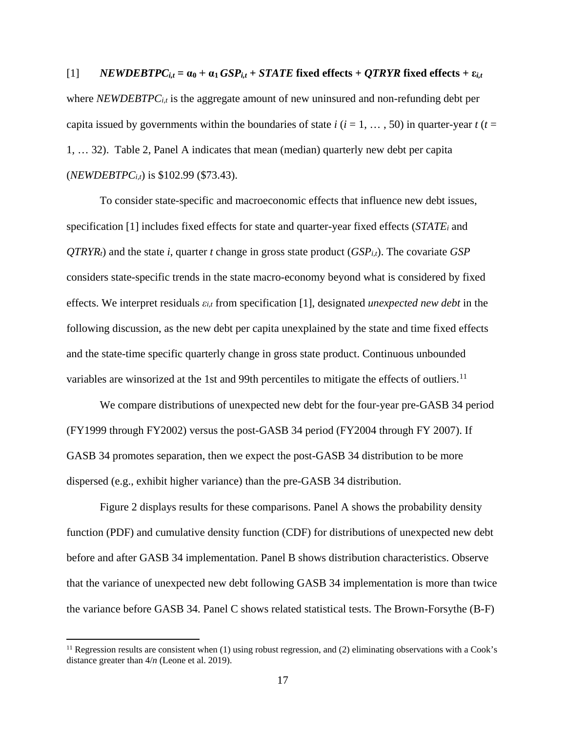$[1]$  *NEWDEBTPC<sub>it</sub>* =  $\alpha_0$  +  $\alpha_1$  *GSP*<sub>it</sub> + *STATE* fixed effects + *QTRYR* fixed effects +  $\varepsilon_{i,t}$ where *NEWDEBTPCi,t* is the aggregate amount of new uninsured and non-refunding debt per capita issued by governments within the boundaries of state  $i$  ( $i = 1, \ldots, 50$ ) in quarter-year  $t$  ( $t =$ 1, … 32). Table 2, Panel A indicates that mean (median) quarterly new debt per capita (*NEWDEBTPCi,t*) is \$102.99 (\$73.43).

To consider state-specific and macroeconomic effects that influence new debt issues, specification [1] includes fixed effects for state and quarter-year fixed effects (*STATEi* and  $QTRYR_t$ ) and the state *i*, quarter *t* change in gross state product  $(GSP_{i,t})$ . The covariate *GSP* considers state-specific trends in the state macro-economy beyond what is considered by fixed effects. We interpret residuals *εi,t* from specification [1], designated *unexpected new debt* in the following discussion, as the new debt per capita unexplained by the state and time fixed effects and the state-time specific quarterly change in gross state product. Continuous unbounded variables are winsorized at the 1st and 99th percentiles to mitigate the effects of outliers.<sup>[11](#page-17-0)</sup>

We compare distributions of unexpected new debt for the four-year pre-GASB 34 period (FY1999 through FY2002) versus the post-GASB 34 period (FY2004 through FY 2007). If GASB 34 promotes separation, then we expect the post-GASB 34 distribution to be more dispersed (e.g., exhibit higher variance) than the pre-GASB 34 distribution.

Figure 2 displays results for these comparisons. Panel A shows the probability density function (PDF) and cumulative density function (CDF) for distributions of unexpected new debt before and after GASB 34 implementation. Panel B shows distribution characteristics. Observe that the variance of unexpected new debt following GASB 34 implementation is more than twice the variance before GASB 34. Panel C shows related statistical tests. The Brown-Forsythe (B-F)

 $\overline{\phantom{a}}$ 

<span id="page-17-0"></span> $11$  Regression results are consistent when (1) using robust regression, and (2) eliminating observations with a Cook's distance greater than 4/*n* (Leone et al. 2019).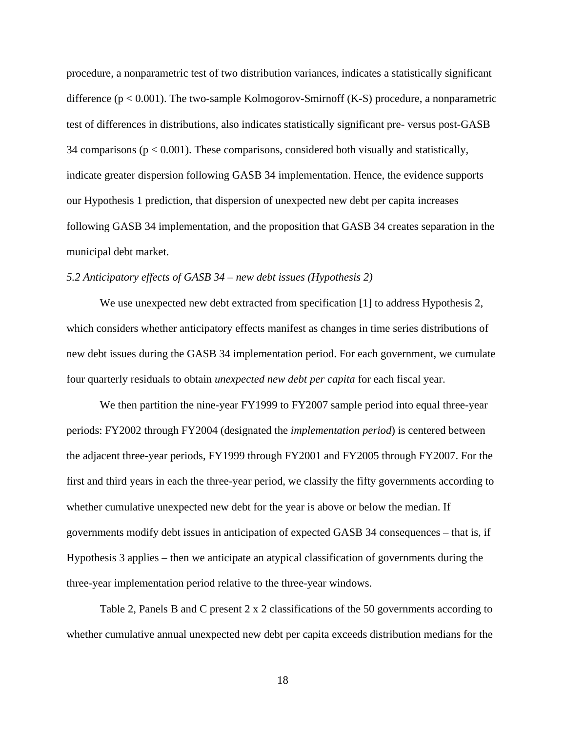procedure, a nonparametric test of two distribution variances, indicates a statistically significant difference ( $p < 0.001$ ). The two-sample Kolmogorov-Smirnoff (K-S) procedure, a nonparametric test of differences in distributions, also indicates statistically significant pre- versus post-GASB 34 comparisons  $(p < 0.001)$ . These comparisons, considered both visually and statistically, indicate greater dispersion following GASB 34 implementation. Hence, the evidence supports our Hypothesis 1 prediction, that dispersion of unexpected new debt per capita increases following GASB 34 implementation, and the proposition that GASB 34 creates separation in the municipal debt market.

### *5.2 Anticipatory effects of GASB 34 – new debt issues (Hypothesis 2)*

We use unexpected new debt extracted from specification [1] to address Hypothesis 2, which considers whether anticipatory effects manifest as changes in time series distributions of new debt issues during the GASB 34 implementation period. For each government, we cumulate four quarterly residuals to obtain *unexpected new debt per capita* for each fiscal year.

We then partition the nine-year FY1999 to FY2007 sample period into equal three-year periods: FY2002 through FY2004 (designated the *implementation period*) is centered between the adjacent three-year periods, FY1999 through FY2001 and FY2005 through FY2007. For the first and third years in each the three-year period, we classify the fifty governments according to whether cumulative unexpected new debt for the year is above or below the median. If governments modify debt issues in anticipation of expected GASB 34 consequences – that is, if Hypothesis 3 applies – then we anticipate an atypical classification of governments during the three-year implementation period relative to the three-year windows.

Table 2, Panels B and C present 2 x 2 classifications of the 50 governments according to whether cumulative annual unexpected new debt per capita exceeds distribution medians for the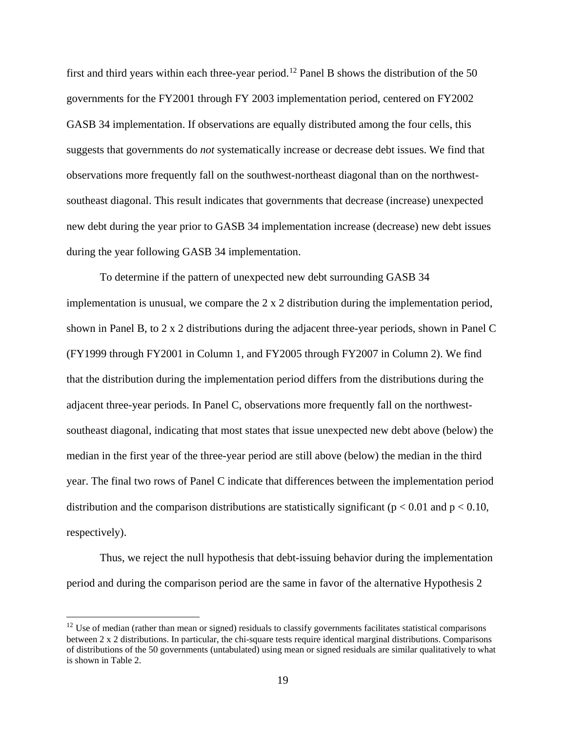first and third years within each three-year period.<sup>[12](#page-19-0)</sup> Panel B shows the distribution of the 50 governments for the FY2001 through FY 2003 implementation period, centered on FY2002 GASB 34 implementation. If observations are equally distributed among the four cells, this suggests that governments do *not* systematically increase or decrease debt issues. We find that observations more frequently fall on the southwest-northeast diagonal than on the northwestsoutheast diagonal. This result indicates that governments that decrease (increase) unexpected new debt during the year prior to GASB 34 implementation increase (decrease) new debt issues during the year following GASB 34 implementation.

To determine if the pattern of unexpected new debt surrounding GASB 34 implementation is unusual, we compare the 2 x 2 distribution during the implementation period, shown in Panel B, to 2 x 2 distributions during the adjacent three-year periods, shown in Panel C (FY1999 through FY2001 in Column 1, and FY2005 through FY2007 in Column 2). We find that the distribution during the implementation period differs from the distributions during the adjacent three-year periods. In Panel C, observations more frequently fall on the northwestsoutheast diagonal, indicating that most states that issue unexpected new debt above (below) the median in the first year of the three-year period are still above (below) the median in the third year. The final two rows of Panel C indicate that differences between the implementation period distribution and the comparison distributions are statistically significant ( $p < 0.01$  and  $p < 0.10$ , respectively).

Thus, we reject the null hypothesis that debt-issuing behavior during the implementation period and during the comparison period are the same in favor of the alternative Hypothesis 2

l

<span id="page-19-0"></span> $12$  Use of median (rather than mean or signed) residuals to classify governments facilitates statistical comparisons between 2 x 2 distributions. In particular, the chi-square tests require identical marginal distributions. Comparisons of distributions of the 50 governments (untabulated) using mean or signed residuals are similar qualitatively to what is shown in Table 2.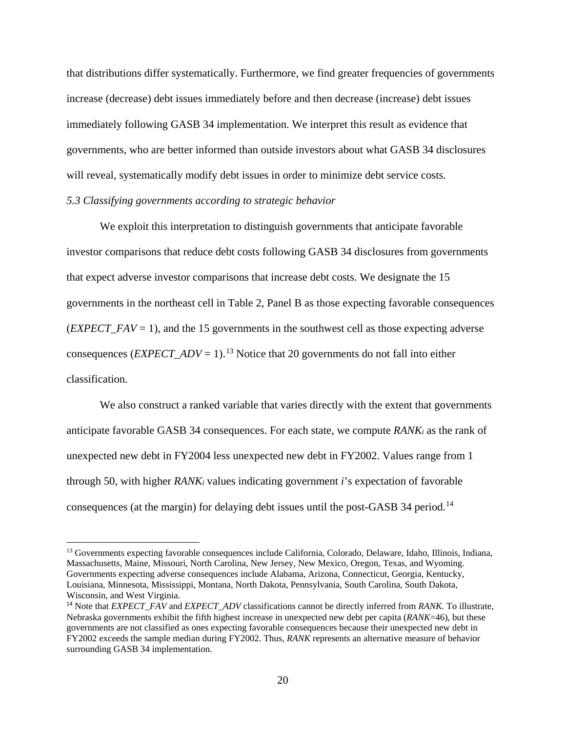that distributions differ systematically. Furthermore, we find greater frequencies of governments increase (decrease) debt issues immediately before and then decrease (increase) debt issues immediately following GASB 34 implementation. We interpret this result as evidence that governments, who are better informed than outside investors about what GASB 34 disclosures will reveal, systematically modify debt issues in order to minimize debt service costs.

## *5.3 Classifying governments according to strategic behavior*

 $\overline{a}$ 

We exploit this interpretation to distinguish governments that anticipate favorable investor comparisons that reduce debt costs following GASB 34 disclosures from governments that expect adverse investor comparisons that increase debt costs. We designate the 15 governments in the northeast cell in Table 2, Panel B as those expecting favorable consequences (*EXPECT\_FAV* = 1), and the 15 governments in the southwest cell as those expecting adverse consequences (*EXPECT\_ADV* = 1).<sup>[13](#page-20-0)</sup> Notice that 20 governments do not fall into either classification.

We also construct a ranked variable that varies directly with the extent that governments anticipate favorable GASB 34 consequences. For each state, we compute *RANKi* as the rank of unexpected new debt in FY2004 less unexpected new debt in FY2002. Values range from 1 through 50, with higher *RANKi* values indicating government *i*'s expectation of favorable consequences (at the margin) for delaying debt issues until the post-GASB 34 period.<sup>[14](#page-20-1)</sup>

<span id="page-20-0"></span><sup>13</sup> Governments expecting favorable consequences include California, Colorado, Delaware, Idaho, Illinois, Indiana, Massachusetts, Maine, Missouri, North Carolina, New Jersey, New Mexico, Oregon, Texas, and Wyoming. Governments expecting adverse consequences include Alabama, Arizona, Connecticut, Georgia, Kentucky, Louisiana, Minnesota, Mississippi, Montana, North Dakota, Pennsylvania, South Carolina, South Dakota, Wisconsin, and West Virginia.

<span id="page-20-1"></span><sup>&</sup>lt;sup>14</sup> Note that *EXPECT\_FAV* and *EXPECT\_ADV* classifications cannot be directly inferred from *RANK*. To illustrate, Nebraska governments exhibit the fifth highest increase in unexpected new debt per capita (*RANK*=46), but these governments are not classified as ones expecting favorable consequences because their unexpected new debt in FY2002 exceeds the sample median during FY2002. Thus, *RANK* represents an alternative measure of behavior surrounding GASB 34 implementation.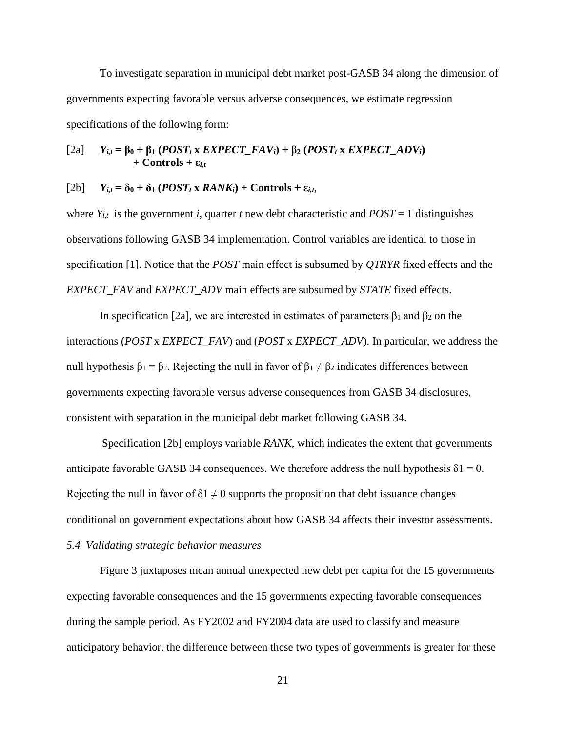To investigate separation in municipal debt market post-GASB 34 along the dimension of governments expecting favorable versus adverse consequences, we estimate regression specifications of the following form:

[2a] 
$$
Y_{i,t} = \beta_0 + \beta_1 (POST_t x EXPECT\_FAV_i) + \beta_2 (POST_t x EXPECT\_ADV_i)
$$
  
+ Controls +  $\varepsilon_{i,t}$ 

#### $[Y2b]$   $Y_{i,t} = \delta_0 + \delta_1 (POST_t x RANK_i) + Controls + \varepsilon_{i,t}$

where  $Y_{i,t}$  is the government *i*, quarter *t* new debt characteristic and  $POST = 1$  distinguishes observations following GASB 34 implementation. Control variables are identical to those in specification [1]. Notice that the *POST* main effect is subsumed by *QTRYR* fixed effects and the *EXPECT\_FAV* and *EXPECT\_ADV* main effects are subsumed by *STATE* fixed effects.

In specification [2a], we are interested in estimates of parameters  $β_1$  and  $β_2$  on the interactions (*POST* x *EXPECT\_FAV*) and (*POST* x *EXPECT\_ADV*). In particular, we address the null hypothesis  $β_1 = β_2$ . Rejecting the null in favor of  $β_1 ≠ β_2$  indicates differences between governments expecting favorable versus adverse consequences from GASB 34 disclosures, consistent with separation in the municipal debt market following GASB 34.

Specification [2b] employs variable *RANK*, which indicates the extent that governments anticipate favorable GASB 34 consequences. We therefore address the null hypothesis  $\delta$ 1 = 0. Rejecting the null in favor of  $\delta$ 1  $\neq$  0 supports the proposition that debt issuance changes conditional on government expectations about how GASB 34 affects their investor assessments.

## *5.4 Validating strategic behavior measures*

Figure 3 juxtaposes mean annual unexpected new debt per capita for the 15 governments expecting favorable consequences and the 15 governments expecting favorable consequences during the sample period. As FY2002 and FY2004 data are used to classify and measure anticipatory behavior, the difference between these two types of governments is greater for these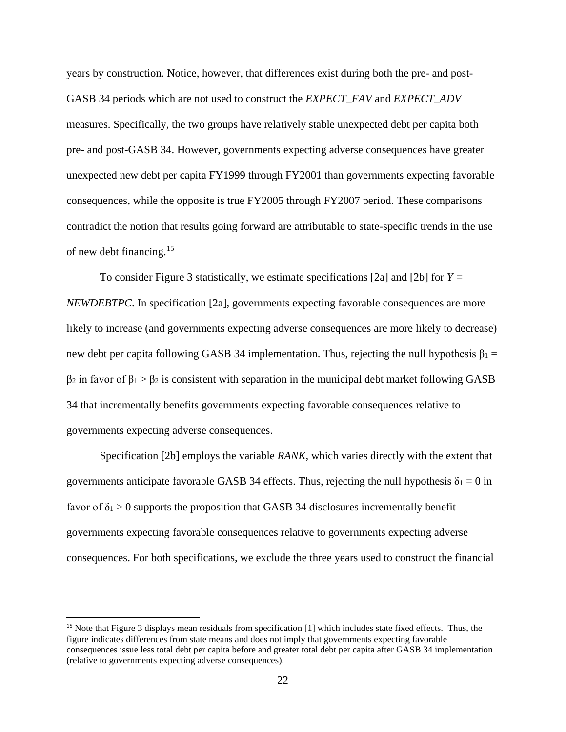years by construction. Notice, however, that differences exist during both the pre- and post-GASB 34 periods which are not used to construct the *EXPECT\_FAV* and *EXPECT\_ADV*  measures. Specifically, the two groups have relatively stable unexpected debt per capita both pre- and post-GASB 34. However, governments expecting adverse consequences have greater unexpected new debt per capita FY1999 through FY2001 than governments expecting favorable consequences, while the opposite is true FY2005 through FY2007 period. These comparisons contradict the notion that results going forward are attributable to state-specific trends in the use of new debt financing. $15$ 

To consider Figure 3 statistically, we estimate specifications [2a] and [2b] for *Y = NEWDEBTPC*. In specification [2a], governments expecting favorable consequences are more likely to increase (and governments expecting adverse consequences are more likely to decrease) new debt per capita following GASB 34 implementation. Thus, rejecting the null hypothesis  $\beta_1$  =  $β_2$  in favor of  $β_1 > β_2$  is consistent with separation in the municipal debt market following GASB 34 that incrementally benefits governments expecting favorable consequences relative to governments expecting adverse consequences.

Specification [2b] employs the variable *RANK,* which varies directly with the extent that governments anticipate favorable GASB 34 effects. Thus, rejecting the null hypothesis  $\delta_1 = 0$  in favor of  $\delta_1 > 0$  supports the proposition that GASB 34 disclosures incrementally benefit governments expecting favorable consequences relative to governments expecting adverse consequences. For both specifications, we exclude the three years used to construct the financial

<span id="page-22-0"></span><sup>&</sup>lt;sup>15</sup> Note that Figure 3 displays mean residuals from specification [1] which includes state fixed effects. Thus, the figure indicates differences from state means and does not imply that governments expecting favorable consequences issue less total debt per capita before and greater total debt per capita after GASB 34 implementation (relative to governments expecting adverse consequences).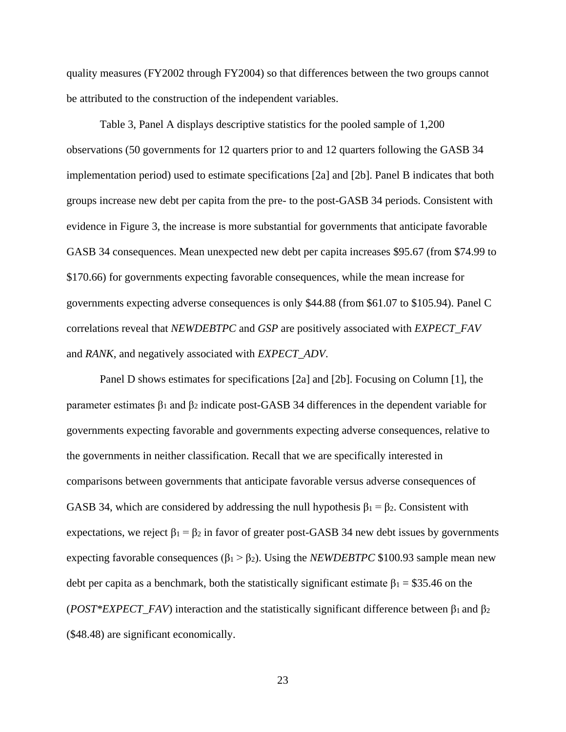quality measures (FY2002 through FY2004) so that differences between the two groups cannot be attributed to the construction of the independent variables.

Table 3, Panel A displays descriptive statistics for the pooled sample of 1,200 observations (50 governments for 12 quarters prior to and 12 quarters following the GASB 34 implementation period) used to estimate specifications [2a] and [2b]. Panel B indicates that both groups increase new debt per capita from the pre- to the post-GASB 34 periods. Consistent with evidence in Figure 3, the increase is more substantial for governments that anticipate favorable GASB 34 consequences. Mean unexpected new debt per capita increases \$95.67 (from \$74.99 to \$170.66) for governments expecting favorable consequences, while the mean increase for governments expecting adverse consequences is only \$44.88 (from \$61.07 to \$105.94). Panel C correlations reveal that *NEWDEBTPC* and *GSP* are positively associated with *EXPECT\_FAV*  and *RANK*, and negatively associated with *EXPECT\_ADV*.

Panel D shows estimates for specifications [2a] and [2b]. Focusing on Column [1], the parameter estimates β<sup>1</sup> and β<sup>2</sup> indicate post-GASB 34 differences in the dependent variable for governments expecting favorable and governments expecting adverse consequences, relative to the governments in neither classification. Recall that we are specifically interested in comparisons between governments that anticipate favorable versus adverse consequences of GASB 34, which are considered by addressing the null hypothesis  $\beta_1 = \beta_2$ . Consistent with expectations, we reject  $\beta_1 = \beta_2$  in favor of greater post-GASB 34 new debt issues by governments expecting favorable consequences ( $\beta_1 > \beta_2$ ). Using the *NEWDEBTPC* \$100.93 sample mean new debt per capita as a benchmark, both the statistically significant estimate  $\beta_1 = $35.46$  on the (*POST\*EXPECT\_FAV*) interaction and the statistically significant difference between  $\beta_1$  and  $\beta_2$ (\$48.48) are significant economically.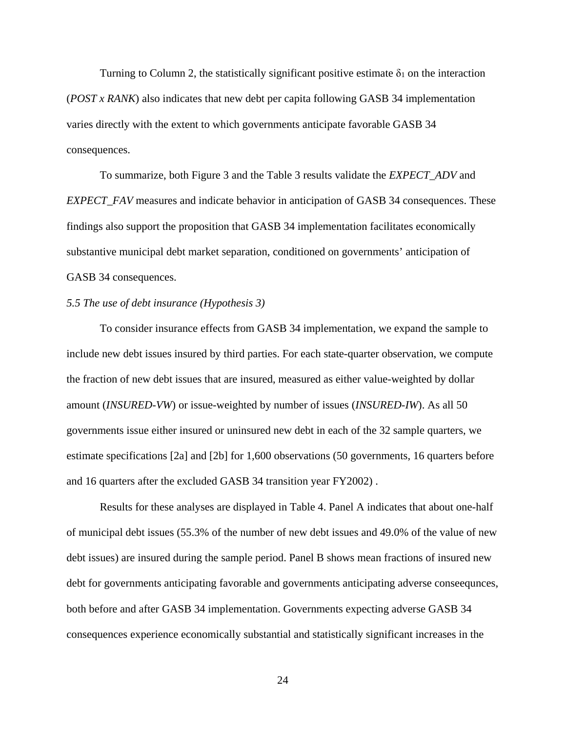Turning to Column 2, the statistically significant positive estimate  $\delta_1$  on the interaction (*POST x RANK*) also indicates that new debt per capita following GASB 34 implementation varies directly with the extent to which governments anticipate favorable GASB 34 consequences.

To summarize, both Figure 3 and the Table 3 results validate the *EXPECT\_ADV* and *EXPECT\_FAV* measures and indicate behavior in anticipation of GASB 34 consequences. These findings also support the proposition that GASB 34 implementation facilitates economically substantive municipal debt market separation, conditioned on governments' anticipation of GASB 34 consequences.

#### *5.5 The use of debt insurance (Hypothesis 3)*

To consider insurance effects from GASB 34 implementation, we expand the sample to include new debt issues insured by third parties. For each state-quarter observation, we compute the fraction of new debt issues that are insured, measured as either value-weighted by dollar amount (*INSURED-VW*) or issue-weighted by number of issues (*INSURED-IW*). As all 50 governments issue either insured or uninsured new debt in each of the 32 sample quarters, we estimate specifications [2a] and [2b] for 1,600 observations (50 governments, 16 quarters before and 16 quarters after the excluded GASB 34 transition year FY2002) .

Results for these analyses are displayed in Table 4. Panel A indicates that about one-half of municipal debt issues (55.3% of the number of new debt issues and 49.0% of the value of new debt issues) are insured during the sample period. Panel B shows mean fractions of insured new debt for governments anticipating favorable and governments anticipating adverse conseequnces, both before and after GASB 34 implementation. Governments expecting adverse GASB 34 consequences experience economically substantial and statistically significant increases in the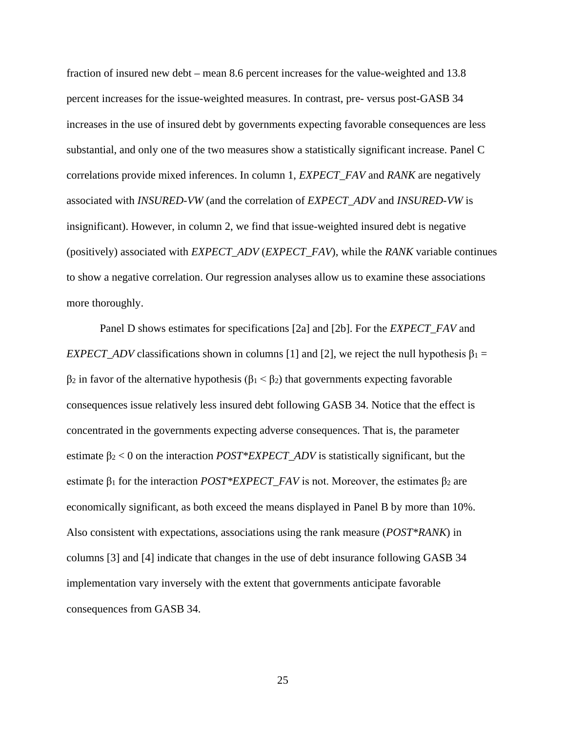fraction of insured new debt – mean 8.6 percent increases for the value-weighted and 13.8 percent increases for the issue-weighted measures. In contrast, pre- versus post-GASB 34 increases in the use of insured debt by governments expecting favorable consequences are less substantial, and only one of the two measures show a statistically significant increase. Panel C correlations provide mixed inferences. In column 1, *EXPECT\_FAV* and *RANK* are negatively associated with *INSURED-VW* (and the correlation of *EXPECT\_ADV* and *INSURED-VW* is insignificant). However, in column 2, we find that issue-weighted insured debt is negative (positively) associated with *EXPECT\_ADV* (*EXPECT\_FAV*), while the *RANK* variable continues to show a negative correlation. Our regression analyses allow us to examine these associations more thoroughly.

Panel D shows estimates for specifications [2a] and [2b]. For the *EXPECT\_FAV* and *EXPECT\_ADV* classifications shown in columns [1] and [2], we reject the null hypothesis  $\beta_1 =$  $β_2$  in favor of the alternative hypothesis ( $β_1 < β_2$ ) that governments expecting favorable consequences issue relatively less insured debt following GASB 34. Notice that the effect is concentrated in the governments expecting adverse consequences. That is, the parameter estimate β<sup>2</sup> < 0 on the interaction *POST\*EXPECT\_ADV* is statistically significant, but the estimate  $\beta_1$  for the interaction *POST\*EXPECT\_FAV* is not. Moreover, the estimates  $\beta_2$  are economically significant, as both exceed the means displayed in Panel B by more than 10%. Also consistent with expectations, associations using the rank measure (*POST\*RANK*) in columns [3] and [4] indicate that changes in the use of debt insurance following GASB 34 implementation vary inversely with the extent that governments anticipate favorable consequences from GASB 34.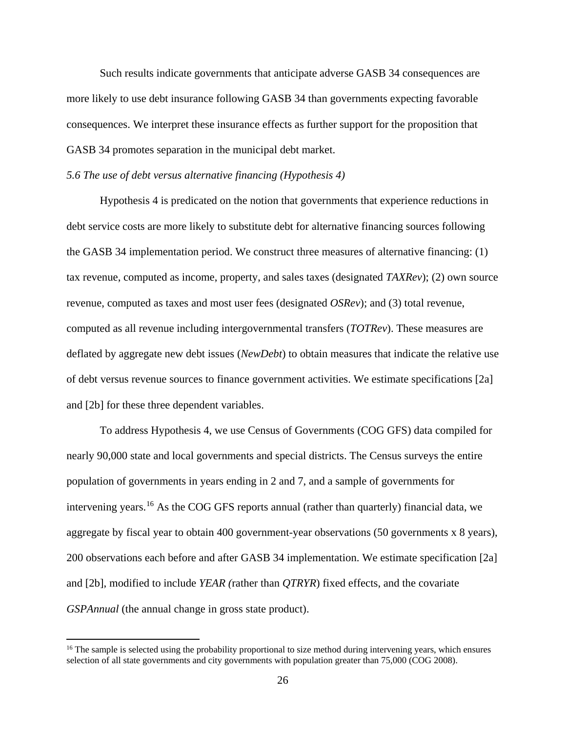Such results indicate governments that anticipate adverse GASB 34 consequences are more likely to use debt insurance following GASB 34 than governments expecting favorable consequences. We interpret these insurance effects as further support for the proposition that GASB 34 promotes separation in the municipal debt market.

### *5.6 The use of debt versus alternative financing (Hypothesis 4)*

Hypothesis 4 is predicated on the notion that governments that experience reductions in debt service costs are more likely to substitute debt for alternative financing sources following the GASB 34 implementation period. We construct three measures of alternative financing: (1) tax revenue, computed as income, property, and sales taxes (designated *TAXRev*); (2) own source revenue, computed as taxes and most user fees (designated *OSRev*); and (3) total revenue, computed as all revenue including intergovernmental transfers (*TOTRev*). These measures are deflated by aggregate new debt issues (*NewDebt*) to obtain measures that indicate the relative use of debt versus revenue sources to finance government activities. We estimate specifications [2a] and [2b] for these three dependent variables.

To address Hypothesis 4, we use Census of Governments (COG GFS) data compiled for nearly 90,000 state and local governments and special districts. The Census surveys the entire population of governments in years ending in 2 and 7, and a sample of governments for intervening years.[16](#page-26-0) As the COG GFS reports annual (rather than quarterly) financial data, we aggregate by fiscal year to obtain 400 government-year observations (50 governments x 8 years), 200 observations each before and after GASB 34 implementation. We estimate specification [2a] and [2b], modified to include *YEAR (*rather than *QTRYR*) fixed effects, and the covariate *GSPAnnual* (the annual change in gross state product).

 $\overline{\phantom{a}}$ 

<span id="page-26-0"></span><sup>&</sup>lt;sup>16</sup> The sample is selected using the probability proportional to size method during intervening years, which ensures selection of all state governments and city governments with population greater than 75,000 (COG 2008).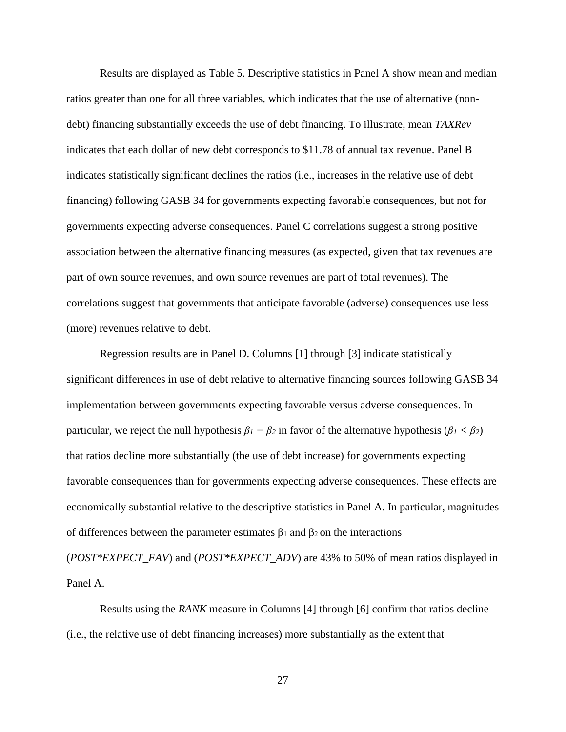Results are displayed as Table 5. Descriptive statistics in Panel A show mean and median ratios greater than one for all three variables, which indicates that the use of alternative (nondebt) financing substantially exceeds the use of debt financing. To illustrate, mean *TAXRev* indicates that each dollar of new debt corresponds to \$11.78 of annual tax revenue. Panel B indicates statistically significant declines the ratios (i.e., increases in the relative use of debt financing) following GASB 34 for governments expecting favorable consequences, but not for governments expecting adverse consequences. Panel C correlations suggest a strong positive association between the alternative financing measures (as expected, given that tax revenues are part of own source revenues, and own source revenues are part of total revenues). The correlations suggest that governments that anticipate favorable (adverse) consequences use less (more) revenues relative to debt.

Regression results are in Panel D. Columns [1] through [3] indicate statistically significant differences in use of debt relative to alternative financing sources following GASB 34 implementation between governments expecting favorable versus adverse consequences. In particular, we reject the null hypothesis  $\beta_1 = \beta_2$  in favor of the alternative hypothesis ( $\beta_1 < \beta_2$ ) that ratios decline more substantially (the use of debt increase) for governments expecting favorable consequences than for governments expecting adverse consequences. These effects are economically substantial relative to the descriptive statistics in Panel A. In particular, magnitudes of differences between the parameter estimates β<sup>1</sup> and β<sup>2</sup> on the interactions

(*POST\*EXPECT\_FAV*) and (*POST\*EXPECT\_ADV*) are 43% to 50% of mean ratios displayed in Panel A.

Results using the *RANK* measure in Columns [4] through [6] confirm that ratios decline (i.e., the relative use of debt financing increases) more substantially as the extent that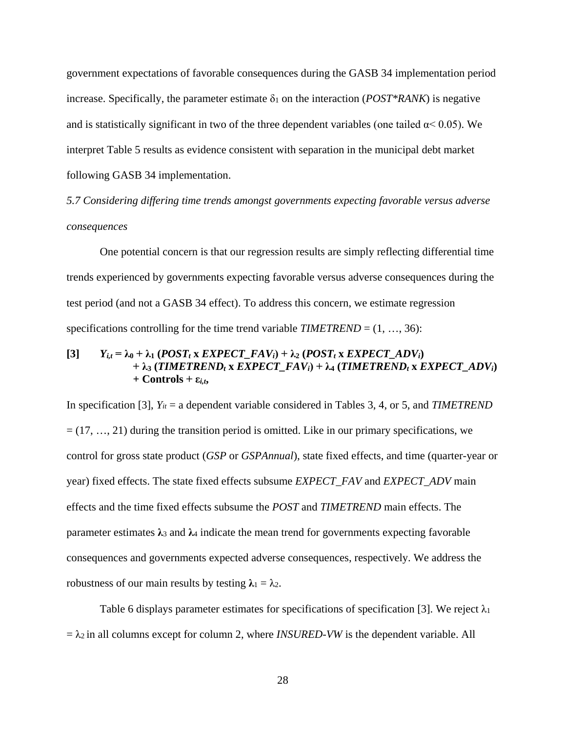government expectations of favorable consequences during the GASB 34 implementation period increase. Specifically, the parameter estimate  $\delta_1$  on the interaction (*POST\*RANK*) is negative and is statistically significant in two of the three dependent variables (one tailed  $\alpha$  < 0.05). We interpret Table 5 results as evidence consistent with separation in the municipal debt market following GASB 34 implementation.

*5.7 Considering differing time trends amongst governments expecting favorable versus adverse consequences*

One potential concern is that our regression results are simply reflecting differential time trends experienced by governments expecting favorable versus adverse consequences during the test period (and not a GASB 34 effect). To address this concern, we estimate regression specifications controlling for the time trend variable  $TIMETREND = (1, ..., 36)$ :

## $[Y_i]=\lambda_0+\lambda_1(POST_t\times EXPECT\_FAV_i)+\lambda_2(POST_t\times EXPECT\_ADV_i)$  $+ \lambda_3$  **(TIMETREND<sub>t</sub> x** *EXPECT\_FAV<sub>i</sub>***) +**  $\lambda_4$  **<b>(TIMETREND<sub>t</sub> x** *EXPECT\_ADV<sub>i</sub>***)**  $+$  **Controls**  $+$  **ε**<sub>*i,t*</sub>**,**

In specification [3], *Yit* = a dependent variable considered in Tables 3, 4, or 5, and *TIMETREND*  $= (17, \ldots, 21)$  during the transition period is omitted. Like in our primary specifications, we control for gross state product (*GSP* or *GSPAnnual*), state fixed effects, and time (quarter-year or year) fixed effects. The state fixed effects subsume *EXPECT\_FAV* and *EXPECT\_ADV* main effects and the time fixed effects subsume the *POST* and *TIMETREND* main effects. The parameter estimates **λ**<sup>3</sup> and **λ**<sup>4</sup> indicate the mean trend for governments expecting favorable consequences and governments expected adverse consequences, respectively. We address the robustness of our main results by testing  $\lambda_1 = \lambda_2$ .

Table 6 displays parameter estimates for specifications of specification [3]. We reject  $\lambda_1$  $= \lambda_2$  in all columns except for column 2, where *INSURED-VW* is the dependent variable. All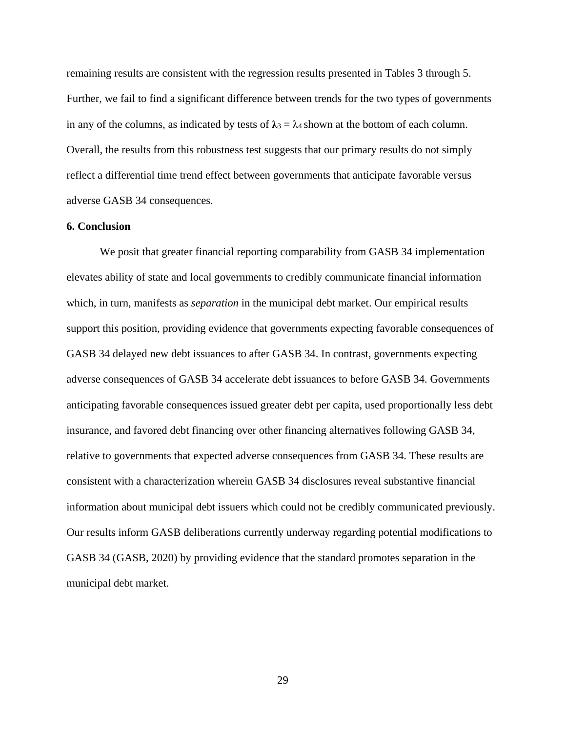remaining results are consistent with the regression results presented in Tables 3 through 5. Further, we fail to find a significant difference between trends for the two types of governments in any of the columns, as indicated by tests of  $\lambda_3 = \lambda_4$  shown at the bottom of each column. Overall, the results from this robustness test suggests that our primary results do not simply reflect a differential time trend effect between governments that anticipate favorable versus adverse GASB 34 consequences.

### **6. Conclusion**

We posit that greater financial reporting comparability from GASB 34 implementation elevates ability of state and local governments to credibly communicate financial information which, in turn, manifests as *separation* in the municipal debt market. Our empirical results support this position, providing evidence that governments expecting favorable consequences of GASB 34 delayed new debt issuances to after GASB 34. In contrast, governments expecting adverse consequences of GASB 34 accelerate debt issuances to before GASB 34. Governments anticipating favorable consequences issued greater debt per capita, used proportionally less debt insurance, and favored debt financing over other financing alternatives following GASB 34, relative to governments that expected adverse consequences from GASB 34. These results are consistent with a characterization wherein GASB 34 disclosures reveal substantive financial information about municipal debt issuers which could not be credibly communicated previously. Our results inform GASB deliberations currently underway regarding potential modifications to GASB 34 (GASB, 2020) by providing evidence that the standard promotes separation in the municipal debt market.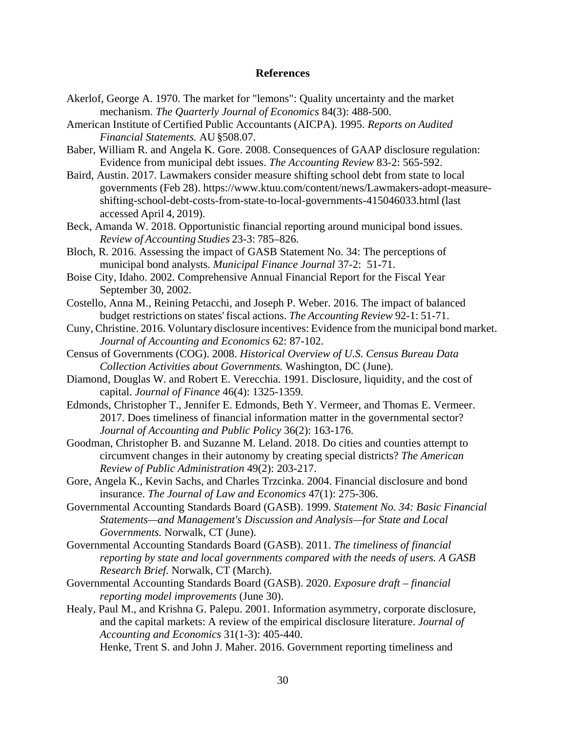#### **References**

- Akerlof, George A. 1970. The market for "lemons": Quality uncertainty and the market mechanism. *The Quarterly Journal of Economics* 84(3): 488-500.
- American Institute of Certified Public Accountants (AICPA). 1995. *Reports on Audited Financial Statements.* AU §508.07.
- Baber, William R. and Angela K. Gore. 2008. Consequences of GAAP disclosure regulation: Evidence from municipal debt issues. *The Accounting Review* 83-2: 565-592.
- Baird, Austin. 2017. Lawmakers consider measure shifting school debt from state to local governments (Feb 28). https:/[/www.ktuu.com/content/news/Lawmakers-adopt-measure](http://www.ktuu.com/content/news/Lawmakers-adopt-measure-shifting-)[shifting-s](http://www.ktuu.com/content/news/Lawmakers-adopt-measure-shifting-)chool-debt-costs-from-state-to-local-governments-415046033.html (last accessed April 4, 2019).
- Beck, Amanda W. 2018. Opportunistic financial reporting around municipal bond issues. *Review of Accounting Studies* 23-3: 785–826.
- Bloch, R. 2016. Assessing the impact of GASB Statement No. 34: The perceptions of municipal bond analysts. *Municipal Finance Journal* 37-2: 51-71.
- Boise City, Idaho. 2002. Comprehensive Annual Financial Report for the Fiscal Year September 30, 2002.
- Costello, Anna M., Reining Petacchi, and Joseph P. Weber. 2016. The impact of balanced budget restrictions on states' fiscal actions. *The Accounting Review* 92-1: 51-71.
- Cuny, Christine. 2016. Voluntary disclosure incentives: Evidence from the municipal bond market. *Journal of Accounting and Economics* 62: 87-102.
- Census of Governments (COG). 2008. *Historical Overview of U.S. Census Bureau Data Collection Activities about Governments.* Washington, DC (June).
- Diamond, Douglas W. and Robert E. Verecchia. 1991. Disclosure, liquidity, and the cost of capital. *Journal of Finance* 46(4): 1325-1359.
- Edmonds, Christopher T., Jennifer E. Edmonds, Beth Y. Vermeer, and Thomas E. Vermeer. 2017. Does timeliness of financial information matter in the governmental sector? *Journal of Accounting and Public Policy* 36(2): 163-176.
- Goodman, Christopher B. and Suzanne M. Leland. 2018. Do cities and counties attempt to circumvent changes in their autonomy by creating special districts? *The American Review of Public Administration* 49(2): 203-217.
- Gore, Angela K., Kevin Sachs, and Charles Trzcinka. 2004. Financial disclosure and bond insurance. *The Journal of Law and Economics* 47(1): 275-306.
- Governmental Accounting Standards Board (GASB). 1999. *Statement No. 34: Basic Financial Statements—and Management's Discussion and Analysis—for State and Local Governments.* Norwalk, CT (June).
- Governmental Accounting Standards Board (GASB). 2011. *The timeliness of financial reporting by state and local governments compared with the needs of users. A GASB Research Brief.* Norwalk, CT (March).
- Governmental Accounting Standards Board (GASB). 2020. *Exposure draft – financial reporting model improvements* (June 30).
- Healy, Paul M., and Krishna G. Palepu. 2001. Information asymmetry, corporate disclosure, and the capital markets: A review of the empirical disclosure literature. *Journal of Accounting and Economics* 31(1-3): 405-440.
	- Henke, Trent S. and John J. Maher. 2016. Government reporting timeliness and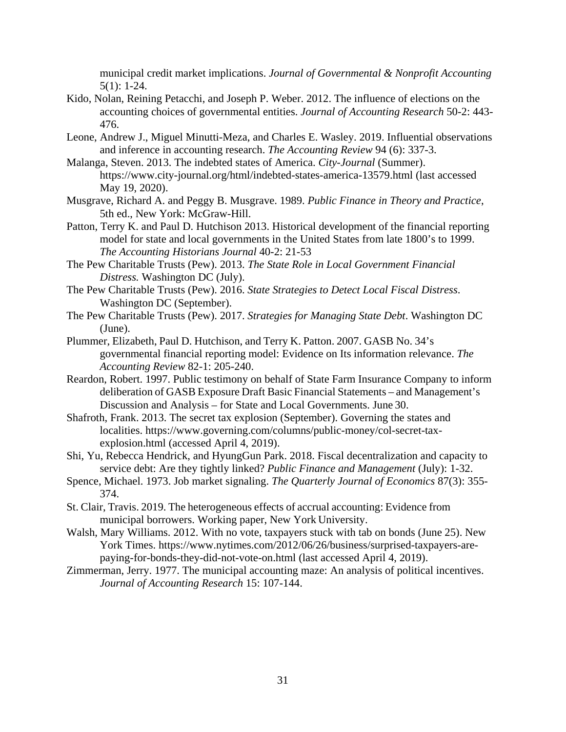municipal credit market implications. *Journal of Governmental & Nonprofit Accounting* 5(1): 1-24.

- Kido, Nolan, Reining Petacchi, and Joseph P. Weber. 2012. The influence of elections on the accounting choices of governmental entities. *Journal of Accounting Research* 50-2: 443- 476.
- Leone, Andrew J., Miguel Minutti-Meza, and Charles E. Wasley. 2019. Influential observations and inference in accounting research. *The Accounting Review* 94 (6): 337-3.
- Malanga, Steven. 2013. The indebted states of America. *City-Journal* (Summer). https://www.city-journal.org/html/indebted-states-america-13579.html (last accessed May 19, 2020).
- Musgrave, Richard A. and Peggy B. Musgrave. 1989. *Public Finance in Theory and Practice*, 5th ed., New York: McGraw-Hill.
- Patton, Terry K. and Paul D. Hutchison 2013. Historical development of the financial reporting model for state and local governments in the United States from late 1800's to 1999. *The Accounting Historians Journal* 40-2: 21-53
- The Pew Charitable Trusts (Pew). 2013. *The State Role in Local Government Financial Distress.* Washington DC (July).
- The Pew Charitable Trusts (Pew). 2016. *State Strategies to Detect Local Fiscal Distress*. Washington DC (September).
- The Pew Charitable Trusts (Pew). 2017. *Strategies for Managing State Debt*. Washington DC (June).
- Plummer, Elizabeth, Paul D. Hutchison, and Terry K. Patton. 2007. GASB No. 34's governmental financial reporting model: Evidence on Its information relevance. *The Accounting Review* 82-1: 205-240.
- Reardon, Robert. 1997. Public testimony on behalf of State Farm Insurance Company to inform deliberation of GASB Exposure Draft Basic Financial Statements – and Management's Discussion and Analysis – for State and Local Governments. June 30.
- Shafroth, Frank. 2013. The secret tax explosion (September). Governing the states and localities. https://www.governing.com/columns/public-money/col-secret-taxexplosion.html (accessed April 4, 2019).
- Shi, Yu, Rebecca Hendrick, and HyungGun Park. 2018. Fiscal decentralization and capacity to service debt: Are they tightly linked? *Public Finance and Management* (July): 1-32.
- Spence, Michael. 1973. Job market signaling. *The Quarterly Journal of Economics* 87(3): 355- 374.
- St. Clair, Travis. 2019. The heterogeneous effects of accrual accounting: Evidence from municipal borrowers. Working paper, New York University.
- Walsh, Mary Williams. 2012. With no vote, taxpayers stuck with tab on bonds (June 25). New York Times. https://www.nytimes.com/2012/06/26/business/surprised-taxpayers-arepaying-for-bonds-they-did-not-vote-on.html (last accessed April 4, 2019).
- Zimmerman, Jerry. 1977. The municipal accounting maze: An analysis of political incentives. *Journal of Accounting Research* 15: 107-144.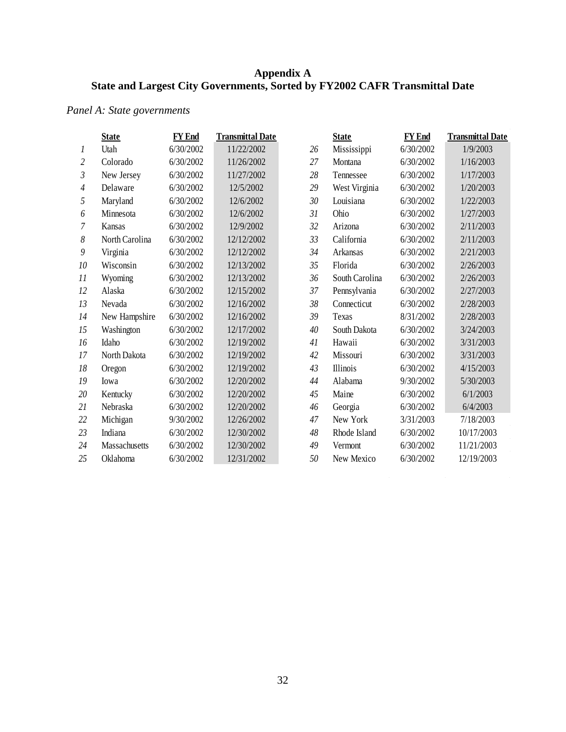## **Appendix A State and Largest City Governments, Sorted by FY2002 CAFR Transmittal Date**

# *Panel A: State governments*

|                | <b>State</b>   | <b>FY End</b> | <b>Transmittal Date</b> |    | <b>State</b>   | <b>FY</b> End | <b>Transmittal Date</b> |
|----------------|----------------|---------------|-------------------------|----|----------------|---------------|-------------------------|
| 1              | Utah           | 6/30/2002     | 11/22/2002              | 26 | Mississippi    | 6/30/2002     | 1/9/2003                |
| $\overline{2}$ | Colorado       | 6/30/2002     | 11/26/2002              | 27 | Montana        | 6/30/2002     | 1/16/2003               |
| $\mathfrak{Z}$ | New Jersey     | 6/30/2002     | 11/27/2002              | 28 | Tennessee      | 6/30/2002     | 1/17/2003               |
| $\overline{4}$ | Delaware       | 6/30/2002     | 12/5/2002               | 29 | West Virginia  | 6/30/2002     | 1/20/2003               |
| 5              | Maryland       | 6/30/2002     | 12/6/2002               | 30 | Louisiana      | 6/30/2002     | 1/22/2003               |
| 6              | Minnesota      | 6/30/2002     | 12/6/2002               | 31 | Ohio           | 6/30/2002     | 1/27/2003               |
| 7              | Kansas         | 6/30/2002     | 12/9/2002               | 32 | Arizona        | 6/30/2002     | 2/11/2003               |
| 8              | North Carolina | 6/30/2002     | 12/12/2002              | 33 | California     | 6/30/2002     | 2/11/2003               |
| 9              | Virginia       | 6/30/2002     | 12/12/2002              | 34 | Arkansas       | 6/30/2002     | 2/21/2003               |
| 10             | Wisconsin      | 6/30/2002     | 12/13/2002              | 35 | Florida        | 6/30/2002     | 2/26/2003               |
| 11             | Wyoming        | 6/30/2002     | 12/13/2002              | 36 | South Carolina | 6/30/2002     | 2/26/2003               |
| 12             | Alaska         | 6/30/2002     | 12/15/2002              | 37 | Pennsylvania   | 6/30/2002     | 2/27/2003               |
| 13             | Nevada         | 6/30/2002     | 12/16/2002              | 38 | Connecticut    | 6/30/2002     | 2/28/2003               |
| 14             | New Hampshire  | 6/30/2002     | 12/16/2002              | 39 | Texas          | 8/31/2002     | 2/28/2003               |
| 15             | Washington     | 6/30/2002     | 12/17/2002              | 40 | South Dakota   | 6/30/2002     | 3/24/2003               |
| 16             | Idaho          | 6/30/2002     | 12/19/2002              | 41 | Hawaii         | 6/30/2002     | 3/31/2003               |
| 17             | North Dakota   | 6/30/2002     | 12/19/2002              | 42 | Missouri       | 6/30/2002     | 3/31/2003               |
| 18             | Oregon         | 6/30/2002     | 12/19/2002              | 43 | Illinois       | 6/30/2002     | 4/15/2003               |
| 19             | Iowa           | 6/30/2002     | 12/20/2002              | 44 | Alabama        | 9/30/2002     | 5/30/2003               |
| 20             | Kentucky       | 6/30/2002     | 12/20/2002              | 45 | Maine          | 6/30/2002     | 6/1/2003                |
| 21             | Nebraska       | 6/30/2002     | 12/20/2002              | 46 | Georgia        | 6/30/2002     | 6/4/2003                |
| 22             | Michigan       | 9/30/2002     | 12/26/2002              | 47 | New York       | 3/31/2003     | 7/18/2003               |
| 23             | Indiana        | 6/30/2002     | 12/30/2002              | 48 | Rhode Island   | 6/30/2002     | 10/17/2003              |
| 24             | Massachusetts  | 6/30/2002     | 12/30/2002              | 49 | Vermont        | 6/30/2002     | 11/21/2003              |
| 25             | Oklahoma       | 6/30/2002     | 12/31/2002              | 50 | New Mexico     | 6/30/2002     | 12/19/2003              |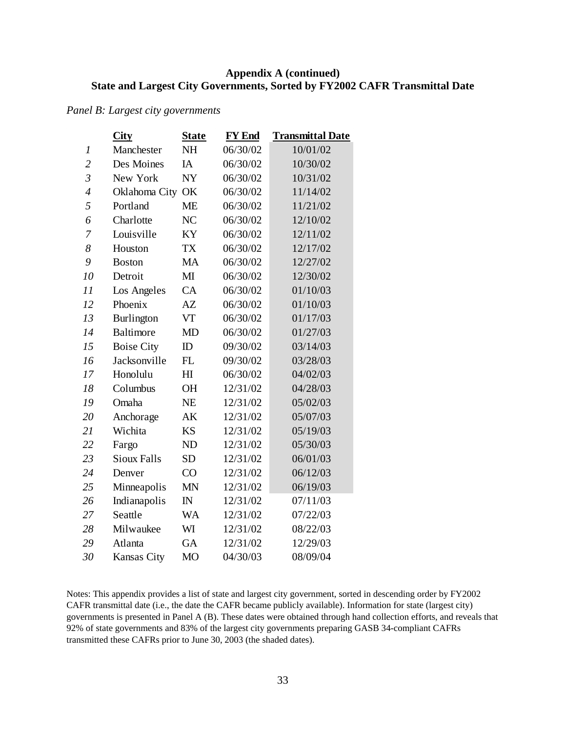## **Appendix A (continued) State and Largest City Governments, Sorted by FY2002 CAFR Transmittal Date**

*Panel B: Largest city governments*

|                | <b>City</b>        | <b>State</b>   | <b>FY</b> End | <b>Transmittal Date</b> |
|----------------|--------------------|----------------|---------------|-------------------------|
| 1              | Manchester         | <b>NH</b>      | 06/30/02      | 10/01/02                |
| $\overline{c}$ | Des Moines         | IA             | 06/30/02      | 10/30/02                |
| $\overline{3}$ | New York           | <b>NY</b>      | 06/30/02      | 10/31/02                |
| $\overline{4}$ | Oklahoma City      | OK             | 06/30/02      | 11/14/02                |
| 5              | Portland           | <b>ME</b>      | 06/30/02      | 11/21/02                |
| 6              | Charlotte          | N <sub>C</sub> | 06/30/02      | 12/10/02                |
| 7              | Louisville         | KY             | 06/30/02      | 12/11/02                |
| 8              | Houston            | <b>TX</b>      | 06/30/02      | 12/17/02                |
| 9              | <b>Boston</b>      | <b>MA</b>      | 06/30/02      | 12/27/02                |
| 10             | Detroit            | $\mathbf{M}$   | 06/30/02      | 12/30/02                |
| 11             | Los Angeles        | CA             | 06/30/02      | 01/10/03                |
| 12             | Phoenix            | AZ             | 06/30/02      | 01/10/03                |
| 13             | Burlington         | VT             | 06/30/02      | 01/17/03                |
| 14             | Baltimore          | <b>MD</b>      | 06/30/02      | 01/27/03                |
| 15             | <b>Boise City</b>  | ID             | 09/30/02      | 03/14/03                |
| 16             | Jacksonville       | FL             | 09/30/02      | 03/28/03                |
| 17             | Honolulu           | H I            | 06/30/02      | 04/02/03                |
| 18             | Columbus           | <b>OH</b>      | 12/31/02      | 04/28/03                |
| 19             | Omaha              | <b>NE</b>      | 12/31/02      | 05/02/03                |
| 20             | Anchorage          | AK             | 12/31/02      | 05/07/03                |
| 21             | Wichita            | <b>KS</b>      | 12/31/02      | 05/19/03                |
| 22             | Fargo              | <b>ND</b>      | 12/31/02      | 05/30/03                |
| 23             | <b>Sioux Falls</b> | <b>SD</b>      | 12/31/02      | 06/01/03                |
| 24             | Denver             | CO             | 12/31/02      | 06/12/03                |
| 25             | Minneapolis        | <b>MN</b>      | 12/31/02      | 06/19/03                |
| 26             | Indianapolis       | $\mathbb{N}$   | 12/31/02      | 07/11/03                |
| 27             | Seattle            | WA             | 12/31/02      | 07/22/03                |
| 28             | Milwaukee          | WI             | 12/31/02      | 08/22/03                |
| 29             | Atlanta            | GA             | 12/31/02      | 12/29/03                |
| 30             | <b>Kansas City</b> | <b>MO</b>      | 04/30/03      | 08/09/04                |

Notes: This appendix provides a list of state and largest city government, sorted in descending order by FY2002 CAFR transmittal date (i.e., the date the CAFR became publicly available). Information for state (largest city) governments is presented in Panel A (B). These dates were obtained through hand collection efforts, and reveals that 92% of state governments and 83% of the largest city governments preparing GASB 34-compliant CAFRs transmitted these CAFRs prior to June 30, 2003 (the shaded dates).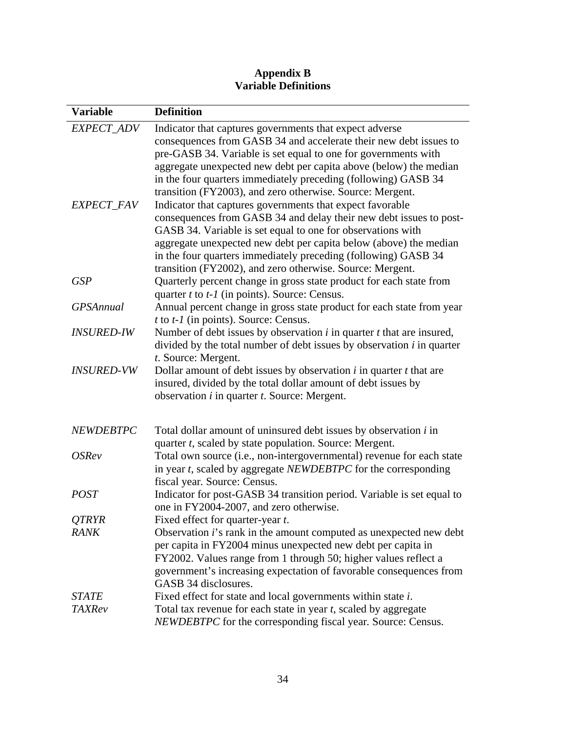## **Appendix B Variable Definitions**

| <b>Variable</b>   | <b>Definition</b>                                                                                                                     |
|-------------------|---------------------------------------------------------------------------------------------------------------------------------------|
| EXPECT_ADV        | Indicator that captures governments that expect adverse                                                                               |
|                   | consequences from GASB 34 and accelerate their new debt issues to                                                                     |
|                   | pre-GASB 34. Variable is set equal to one for governments with                                                                        |
|                   | aggregate unexpected new debt per capita above (below) the median                                                                     |
|                   | in the four quarters immediately preceding (following) GASB 34                                                                        |
|                   | transition (FY2003), and zero otherwise. Source: Mergent.                                                                             |
| EXPECT_FAV        | Indicator that captures governments that expect favorable                                                                             |
|                   | consequences from GASB 34 and delay their new debt issues to post-                                                                    |
|                   | GASB 34. Variable is set equal to one for observations with                                                                           |
|                   | aggregate unexpected new debt per capita below (above) the median                                                                     |
|                   | in the four quarters immediately preceding (following) GASB 34                                                                        |
|                   | transition (FY2002), and zero otherwise. Source: Mergent.                                                                             |
| <b>GSP</b>        | Quarterly percent change in gross state product for each state from                                                                   |
|                   | quarter $t$ to $t$ - $l$ (in points). Source: Census.                                                                                 |
| <b>GPSAnnual</b>  | Annual percent change in gross state product for each state from year                                                                 |
|                   | t to $t$ -1 (in points). Source: Census.                                                                                              |
| <b>INSURED-IW</b> | Number of debt issues by observation $i$ in quarter $t$ that are insured,                                                             |
|                   | divided by the total number of debt issues by observation $i$ in quarter                                                              |
|                   | t. Source: Mergent.                                                                                                                   |
| <b>INSURED-VW</b> | Dollar amount of debt issues by observation $i$ in quarter $t$ that are                                                               |
|                   | insured, divided by the total dollar amount of debt issues by                                                                         |
|                   | observation <i>i</i> in quarter <i>t</i> . Source: Mergent.                                                                           |
|                   |                                                                                                                                       |
| <b>NEWDEBTPC</b>  | Total dollar amount of uninsured debt issues by observation i in                                                                      |
|                   | quarter <i>t</i> , scaled by state population. Source: Mergent.                                                                       |
| <b>OSRev</b>      | Total own source (i.e., non-intergovernmental) revenue for each state                                                                 |
|                   | in year $t$ , scaled by aggregate <i>NEWDEBTPC</i> for the corresponding                                                              |
|                   | fiscal year. Source: Census.                                                                                                          |
| <b>POST</b>       | Indicator for post-GASB 34 transition period. Variable is set equal to                                                                |
|                   | one in FY2004-2007, and zero otherwise.                                                                                               |
| QTRYR             | Fixed effect for quarter-year t.                                                                                                      |
| <b>RANK</b>       | Observation <i>i</i> 's rank in the amount computed as unexpected new debt                                                            |
|                   | per capita in FY2004 minus unexpected new debt per capita in                                                                          |
|                   | FY2002. Values range from 1 through 50; higher values reflect a<br>government's increasing expectation of favorable consequences from |
|                   | GASB 34 disclosures.                                                                                                                  |
| <b>STATE</b>      | Fixed effect for state and local governments within state i.                                                                          |
| <b>TAXRev</b>     | Total tax revenue for each state in year t, scaled by aggregate                                                                       |
|                   | NEWDEBTPC for the corresponding fiscal year. Source: Census.                                                                          |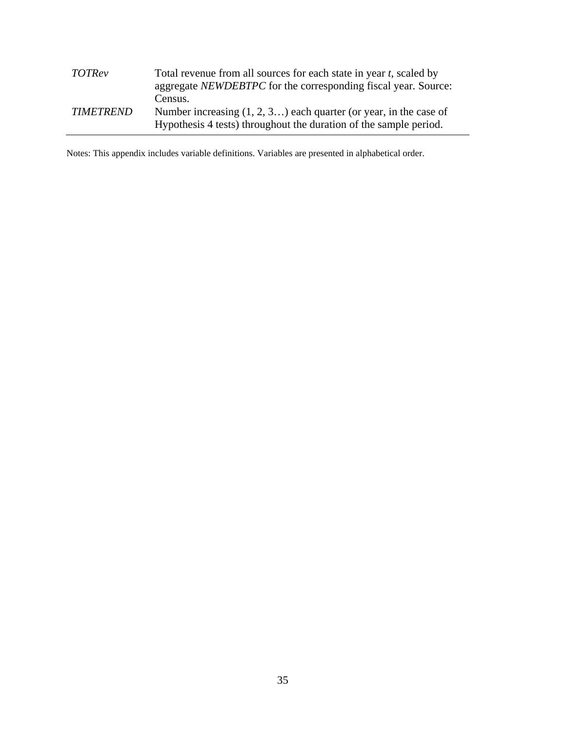| <b>TOTRev</b>    | Total revenue from all sources for each state in year t, scaled by<br>aggregate NEWDEBTPC for the corresponding fiscal year. Source:<br>Census. |
|------------------|-------------------------------------------------------------------------------------------------------------------------------------------------|
| <i>TIMETREND</i> | Number increasing $(1, 2, 3)$ each quarter (or year, in the case of<br>Hypothesis 4 tests) throughout the duration of the sample period.        |

Notes: This appendix includes variable definitions. Variables are presented in alphabetical order.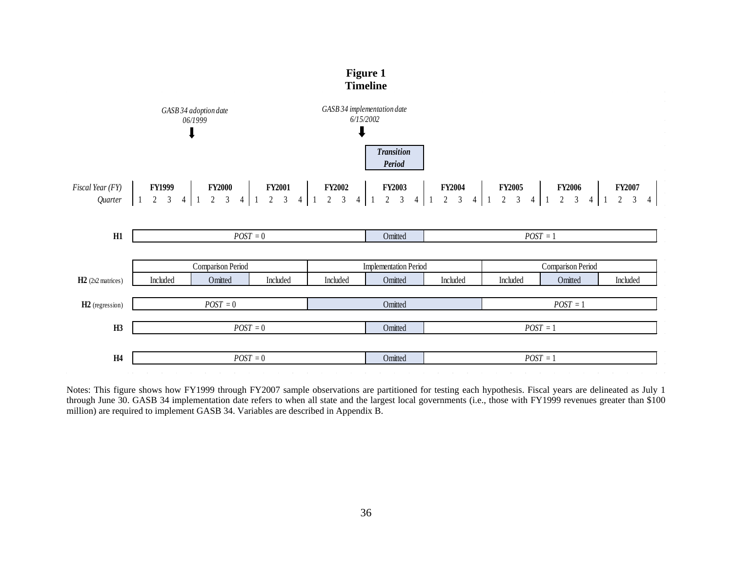

Notes: This figure shows how FY1999 through FY2007 sample observations are partitioned for testing each hypothesis. Fiscal years are delineated as July 1 through June 30. GASB 34 implementation date refers to when all state and the largest local governments (i.e., those with FY1999 revenues greater than \$100 million) are required to implement GASB 34. Variables are described in Appendix B.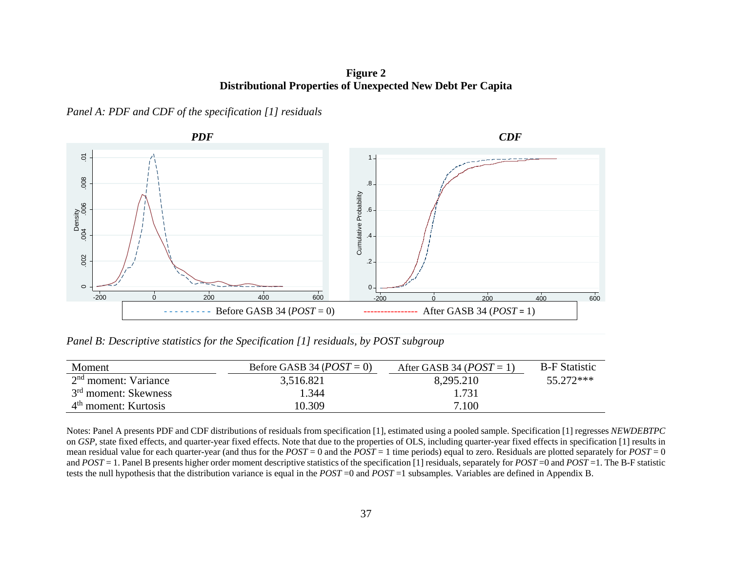**Figure 2 Distributional Properties of Unexpected New Debt Per Capita** 

*Panel A: PDF and CDF of the specification [1] residuals*



*Panel B: Descriptive statistics for the Specification [1] residuals, by POST subgroup*

| Moment                           | Before GASB 34 ( $POST = 0$ ) | After GASB 34 ( $POST = 1$ ) | <b>B-F</b> Statistic |
|----------------------------------|-------------------------------|------------------------------|----------------------|
| 2 <sup>nd</sup> moment: Variance | 3,516.821                     | 8,295.210                    | 55.272***            |
| 3 <sup>rd</sup> moment: Skewness | l.344                         | 1.731                        |                      |
| $4th$ moment: Kurtosis           | 10.309                        | 7.100                        |                      |

Notes: Panel A presents PDF and CDF distributions of residuals from specification [1], estimated using a pooled sample. Specification [1] regresses *NEWDEBTPC*  on *GSP*, state fixed effects, and quarter-year fixed effects. Note that due to the properties of OLS, including quarter-year fixed effects in specification [1] results in mean residual value for each quarter-year (and thus for the *POST* = 0 and the *POST* = 1 time periods) equal to zero. Residuals are plotted separately for *POST* = 0 and *POST* = 1. Panel B presents higher order moment descriptive statistics of the specification [1] residuals, separately for *POST* =0 and *POST* =1. The B-F statistic tests the null hypothesis that the distribution variance is equal in the *POST* =0 and *POST* =1 subsamples. Variables are defined in Appendix B.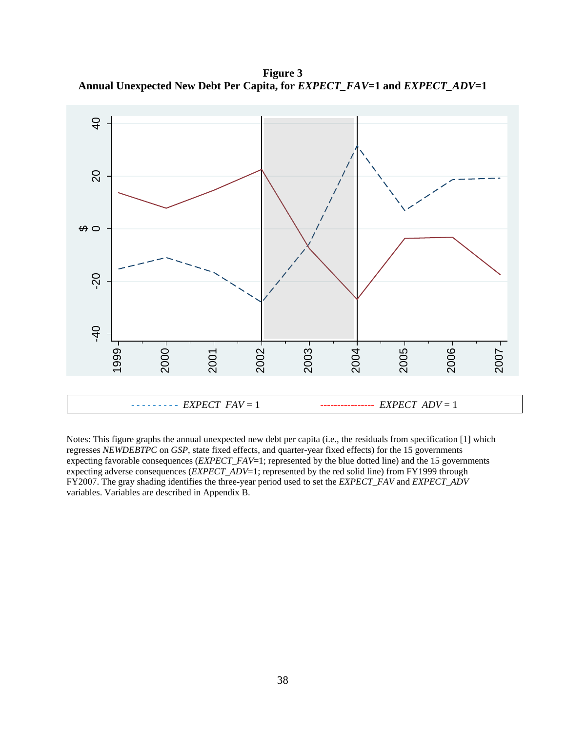**Figure 3 Annual Unexpected New Debt Per Capita, for** *EXPECT\_FAV***=1 and** *EXPECT\_ADV***=1**



Notes: This figure graphs the annual unexpected new debt per capita (i.e., the residuals from specification [1] which regresses *NEWDEBTPC* on *GSP*, state fixed effects, and quarter-year fixed effects) for the 15 governments expecting favorable consequences (*EXPECT\_FAV*=1; represented by the blue dotted line) and the 15 governments expecting adverse consequences (*EXPECT\_ADV*=1; represented by the red solid line) from FY1999 through FY2007. The gray shading identifies the three-year period used to set the *EXPECT\_FAV* and *EXPECT\_ADV*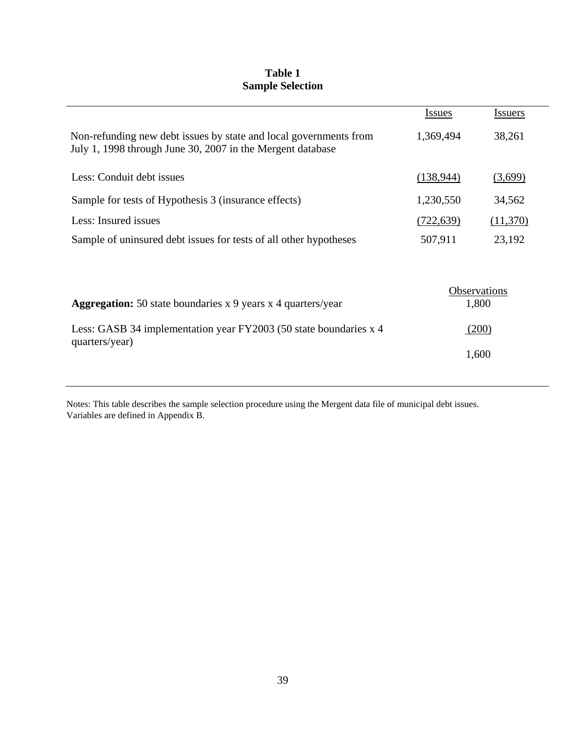# **Table 1 Sample Selection**

|                                                                                                                                 | <b>Issues</b> | <b>Issuers</b>        |
|---------------------------------------------------------------------------------------------------------------------------------|---------------|-----------------------|
| Non-refunding new debt issues by state and local governments from<br>July 1, 1998 through June 30, 2007 in the Mergent database | 1,369,494     | 38,261                |
| Less: Conduit debt issues                                                                                                       | (138, 944)    | (3,699)               |
| Sample for tests of Hypothesis 3 (insurance effects)                                                                            | 1,230,550     | 34,562                |
| Less: Insured issues                                                                                                            | (722, 639)    | (11,370)              |
| Sample of uninsured debt issues for tests of all other hypotheses                                                               | 507,911       | 23,192                |
| <b>Aggregation:</b> 50 state boundaries x 9 years x 4 quarters/year                                                             |               | Observations<br>1,800 |
| Less: GASB 34 implementation year FY2003 (50 state boundaries x 4                                                               |               | (200)                 |
| quarters/year)                                                                                                                  |               | 1,600                 |
|                                                                                                                                 |               |                       |

Notes: This table describes the sample selection procedure using the Mergent data file of municipal debt issues. Variables are defined in Appendix B.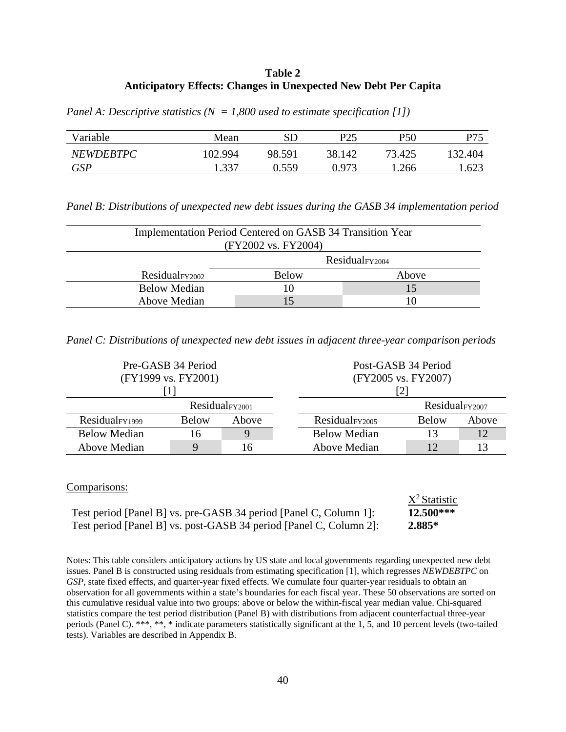### **Table 2 Anticipatory Effects: Changes in Unexpected New Debt Per Capita**

| Panel A: Descriptive statistics ( $N = 1,800$ used to estimate specification [1]) |  |  |  |  |  |  |  |
|-----------------------------------------------------------------------------------|--|--|--|--|--|--|--|
|-----------------------------------------------------------------------------------|--|--|--|--|--|--|--|

| Variable         | Mean    | SD     | P <sub>25</sub> | P50    | P75     |
|------------------|---------|--------|-----------------|--------|---------|
| <b>NEWDEBTPC</b> | 102.994 | 98.591 | 38.142          | 73.425 | 132.404 |
| <b>GSP</b>       | .337    | N 559  | 0.973           | '.266  | 1.623   |

*Panel B: Distributions of unexpected new debt issues during the GASB 34 implementation period*

| Implementation Period Centered on GASB 34 Transition Year<br>(FY2002 vs. FY2004) |                            |       |  |  |  |  |
|----------------------------------------------------------------------------------|----------------------------|-------|--|--|--|--|
|                                                                                  | Residual <sub>FY2004</sub> |       |  |  |  |  |
| Residual <sub>FY2002</sub>                                                       | <b>Below</b>               | Above |  |  |  |  |
| <b>Below Median</b>                                                              |                            | 15    |  |  |  |  |
| Above Median                                                                     |                            |       |  |  |  |  |

*Panel C: Distributions of unexpected new debt issues in adjacent three-year comparison periods*

| Pre-GASB 34 Period         |              |       | Post-GASB 34 Period        |              |       |  |  |
|----------------------------|--------------|-------|----------------------------|--------------|-------|--|--|
| (FY1999 vs. FY2001)        |              |       | (FY2005 vs. FY2007)        |              |       |  |  |
|                            |              |       | [2]                        |              |       |  |  |
| Residual <sub>FY2001</sub> |              |       | Residual <sub>FY2007</sub> |              |       |  |  |
| Residual <sub>FY1999</sub> | <b>Below</b> | Above | Residual <sub>FY2005</sub> | <b>Below</b> | Above |  |  |
| <b>Below Median</b>        | 16           | Q     | <b>Below Median</b>        | 13           | 12    |  |  |
| Above Median               | $\mathbf Q$  | 16    | Above Median               | 12           |       |  |  |

#### Comparisons:

| COMparisons.                                                       |                 |
|--------------------------------------------------------------------|-----------------|
|                                                                    | $X^2$ Statistic |
| Test period [Panel B] vs. pre-GASB 34 period [Panel C, Column 1]:  | $12.500***$     |
| Test period [Panel B] vs. post-GASB 34 period [Panel C, Column 2]: | $2.885*$        |

Notes: This table considers anticipatory actions by US state and local governments regarding unexpected new debt issues. Panel B is constructed using residuals from estimating specification [1], which regresses *NEWDEBTPC* on *GSP*, state fixed effects, and quarter-year fixed effects. We cumulate four quarter-year residuals to obtain an observation for all governments within a state's boundaries for each fiscal year. These 50 observations are sorted on this cumulative residual value into two groups: above or below the within-fiscal year median value. Chi-squared statistics compare the test period distribution (Panel B) with distributions from adjacent counterfactual three-year periods (Panel C). \*\*\*, \*\*, \* indicate parameters statistically significant at the 1, 5, and 10 percent levels (two-tailed tests). Variables are described in Appendix B.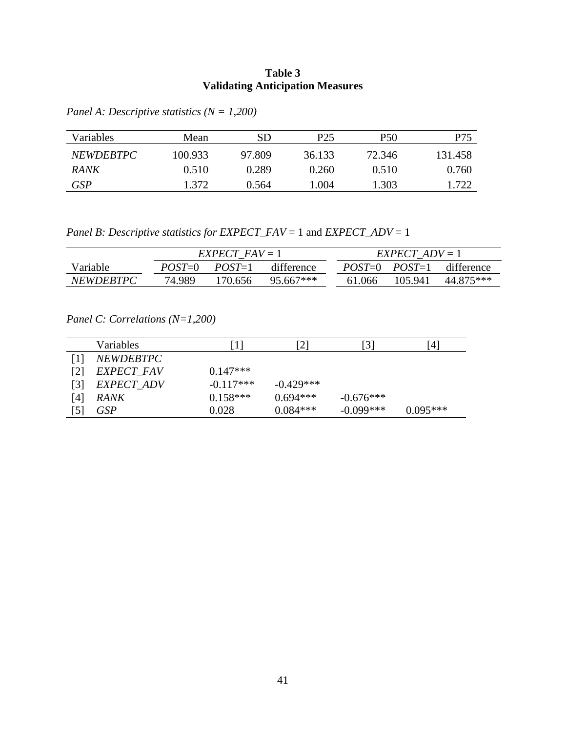## **Table 3 Validating Anticipation Measures**

| Variables        | Mean    | SD     | P25    | P50    | P75     |
|------------------|---------|--------|--------|--------|---------|
| <i>NEWDEBTPC</i> | 100.933 | 97.809 | 36.133 | 72.346 | 131.458 |
| <b>RANK</b>      | 0.510   | 0.289  | 0.260  | 0.510  | 0.760   |
| <b>GSP</b>       | 1.372   | 0.564  | 1.004  | 1.303  | 1.722   |

*Panel A: Descriptive statistics (N = 1,200)*

*Panel B: Descriptive statistics for EXPECT\_FAV* = 1 and *EXPECT\_ADV* = 1

|                  | $EXPECT$ $FAV = 1$ |                        |           | $EXPECT$ ADV = 1 |         |                              |  |
|------------------|--------------------|------------------------|-----------|------------------|---------|------------------------------|--|
| Variable         | $POST = 0$         | difference<br>$POST=1$ |           |                  |         | $POST=0$ $POST=1$ difference |  |
| <i>NEWDEBTPC</i> | 74.989             | 170.656                | 95.667*** | 61.066           | 105.941 | 44.875***                    |  |

*Panel C: Correlations (N=1,200)*

|     | <b>Variables</b>  | 1           | $\left[ 2\right]$ | [3]         | [4]        |
|-----|-------------------|-------------|-------------------|-------------|------------|
|     | <b>NEWDEBTPC</b>  |             |                   |             |            |
| [2] | <b>EXPECT FAV</b> | $0.147***$  |                   |             |            |
| 31  | EXPECT ADV        | $-0.117***$ | $-0.429***$       |             |            |
| [4] | <b>RANK</b>       | $0.158***$  | $0.694***$        | $-0.676***$ |            |
| [5] | <b>GSP</b>        | 0.028       | $0.084***$        | $-0.099***$ | $0.095***$ |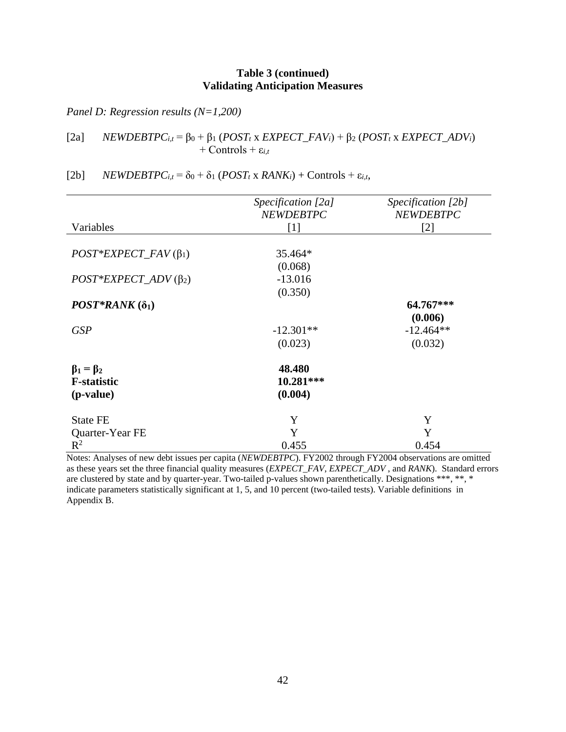## **Table 3 (continued) Validating Anticipation Measures**

*Panel D: Regression results (N=1,200)*

## [2a] *NEWDEBTPC<sub>i,t</sub>* = β<sub>0</sub> + β<sub>1</sub> (*POST<sub>t</sub>* x *EXPECT\_FAV<sub>i</sub>*) + β<sub>2</sub> (*POST<sub>t</sub>* x *EXPECT\_ADV<sub>i</sub>*) + Controls +  $\varepsilon_{i,t}$

# [2b]  $NEWDEBTPC_{i,t} = \delta_0 + \delta_1 (POST_t x RANK_i) + Controls + \varepsilon_{i,t}$ ,

|                             | Specification [2a] | Specification [2b] |
|-----------------------------|--------------------|--------------------|
|                             | <b>NEWDEBTPC</b>   | <b>NEWDEBTPC</b>   |
| Variables                   | [1]                | $[2]$              |
| $POST*EXPECT\_FAV(\beta_1)$ | 35.464*            |                    |
|                             | (0.068)            |                    |
| $POST*EXPECT\_ADV(\beta_2)$ | $-13.016$          |                    |
|                             | (0.350)            |                    |
| $POST*RANK(δ1)$             |                    | 64.767***          |
|                             |                    | (0.006)            |
| <b>GSP</b>                  | $-12.301**$        | $-12.464**$        |
|                             | (0.023)            | (0.032)            |
| $\beta_1 = \beta_2$         | 48.480             |                    |
| <b>F-statistic</b>          | 10.281***          |                    |
| (p-value)                   | (0.004)            |                    |
| <b>State FE</b>             | Y                  | Y                  |
| Quarter-Year FE             | Y                  | Y                  |
| $R^2$                       | 0.455              | 0.454              |

Notes: Analyses of new debt issues per capita (*NEWDEBTPC*). FY2002 through FY2004 observations are omitted as these years set the three financial quality measures (*EXPECT\_FAV*, *EXPECT\_ADV* , and *RANK*). Standard errors are clustered by state and by quarter-year. Two-tailed p-values shown parenthetically. Designations \*\*\*, \*\*, \* indicate parameters statistically significant at 1, 5, and 10 percent (two-tailed tests). Variable definitions in Appendix B.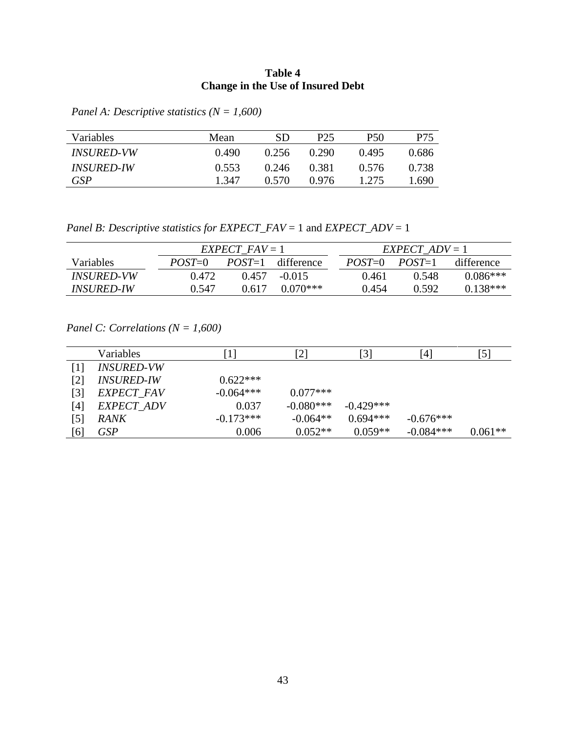## **Table 4 Change in the Use of Insured Debt**

*Panel A: Descriptive statistics (N = 1,600)*

| Variables                | Mean  | SD    | P25   | P50   | P75   |
|--------------------------|-------|-------|-------|-------|-------|
| <i><b>INSURED-VW</b></i> | 0.490 | 0.256 | 0.290 | 0.495 | 0.686 |
| <i><b>INSURED-IW</b></i> | 0.553 | 0.246 | 0.381 | 0.576 | 0.738 |
| GSP                      | 1.347 | 0.570 | 0.976 | 1.275 | .690  |

*Panel B: Descriptive statistics for EXPECT\_FAV* = 1 and *EXPECT\_ADV* = 1

|                          | $EXPECT$ $FAV = 1$ |        |                     | $EXPECT$ ADV = 1 |            |          |            |
|--------------------------|--------------------|--------|---------------------|------------------|------------|----------|------------|
| <b>Variables</b>         | $POST=0$           |        | $POST=1$ difference |                  | $POST = 0$ | $POST=1$ | difference |
| <i><b>INSURED-VW</b></i> | 0.472              | (1457) | $-0.015$            |                  | 0.461      | 0.548    | $0.086***$ |
| <i>INSURED-IW</i>        | 0.547              | 0.617  | $0.070***$          |                  | 0.454      | 0.592    | $0.138***$ |

*Panel C: Correlations (N = 1,600)*

|     | Variables         |             | $\lceil 2 \rceil$ | $\lceil 3 \rceil$ | [4]         | [5]       |
|-----|-------------------|-------------|-------------------|-------------------|-------------|-----------|
| [1] | <b>INSURED-VW</b> |             |                   |                   |             |           |
| [2] | <b>INSURED-IW</b> | $0.622***$  |                   |                   |             |           |
| [3] | EXPECT_FAV        | $-0.064***$ | $0.077***$        |                   |             |           |
| [4] | EXPECT_ADV        | 0.037       | $-0.080***$       | $-0.429***$       |             |           |
| [5] | <b>RANK</b>       | $-0.173***$ | $-0.064**$        | $0.694***$        | $-0.676***$ |           |
| [6] | <b>GSP</b>        | 0.006       | $0.052**$         | $0.059**$         | $-0.084***$ | $0.061**$ |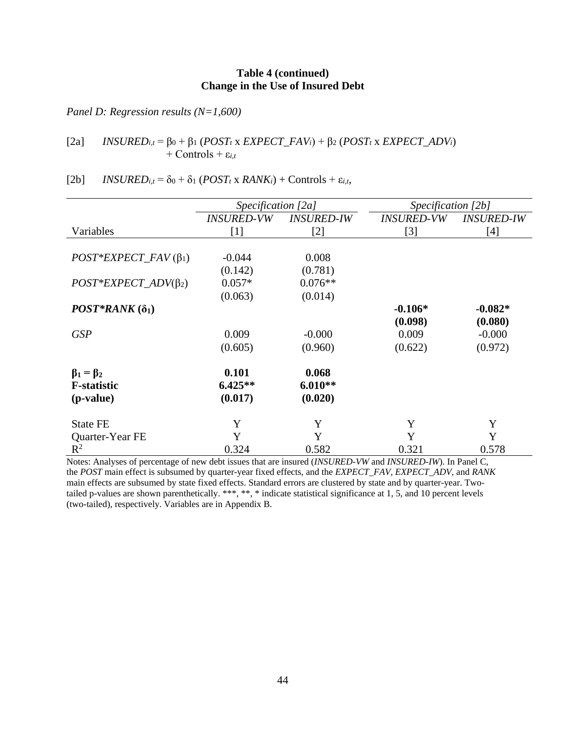### **Table 4 (continued) Change in the Use of Insured Debt**

*Panel D: Regression results (N=1,600)*

[2a] *INSURED<sub>i,t</sub>* = β<sub>0</sub> + β<sub>1</sub> (*POST<sub>t</sub>* x *EXPECT\_FAV<sub>i</sub>*) + β<sub>2</sub> (*POST<sub>t</sub>* x *EXPECT\_ADV<sub>i</sub>*)  $+$  Controls  $+$   $\varepsilon_{i,t}$ 

|                                                                  | Specification [2a]            |                               | Specification [2b]       |                   |
|------------------------------------------------------------------|-------------------------------|-------------------------------|--------------------------|-------------------|
|                                                                  | <i><b>INSURED-VW</b></i>      | <b>INSURED-IW</b>             | <i><b>INSURED-VW</b></i> | <b>INSURED-IW</b> |
| Variables                                                        | $\lceil 1 \rceil$             | $[2]$                         | $[3]$                    | $[4]$             |
|                                                                  |                               |                               |                          |                   |
| $POST*EXPECT\_FAV(\beta_1)$                                      | $-0.044$                      | 0.008                         |                          |                   |
|                                                                  | (0.142)                       | (0.781)                       |                          |                   |
| $POST*EXPECT \_\mathit{ADV}(\beta_2)$                            | $0.057*$                      | $0.076**$                     |                          |                   |
|                                                                  | (0.063)                       | (0.014)                       |                          |                   |
| $POST*RANK(δ1)$                                                  |                               |                               | $-0.106*$                | $-0.082*$         |
|                                                                  |                               |                               | (0.098)                  | (0.080)           |
| <b>GSP</b>                                                       | 0.009                         | $-0.000$                      | 0.009                    | $-0.000$          |
|                                                                  | (0.605)                       | (0.960)                       | (0.622)                  | (0.972)           |
| $\beta_1 = \beta_2$<br><b>F</b> -statistic<br>( <i>p</i> -value) | 0.101<br>$6.425**$<br>(0.017) | 0.068<br>$6.010**$<br>(0.020) |                          |                   |
| <b>State FE</b>                                                  | Y                             | Y                             | Y                        | Y                 |
| Quarter-Year FE                                                  | Y                             | Y                             | Y                        | Y                 |
| $\mathbb{R}^2$                                                   | 0.324                         | 0.582                         | 0.321                    | 0.578             |

Notes: Analyses of percentage of new debt issues that are insured (*INSURED-VW* and *INSURED-IW*). In Panel C, the *POST* main effect is subsumed by quarter-year fixed effects, and the *EXPECT\_FAV, EXPECT\_ADV,* and *RANK* main effects are subsumed by state fixed effects. Standard errors are clustered by state and by quarter-year. Twotailed p-values are shown parenthetically. \*\*\*, \*\*, \* indicate statistical significance at 1, 5, and 10 percent levels (two-tailed), respectively. Variables are in Appendix B.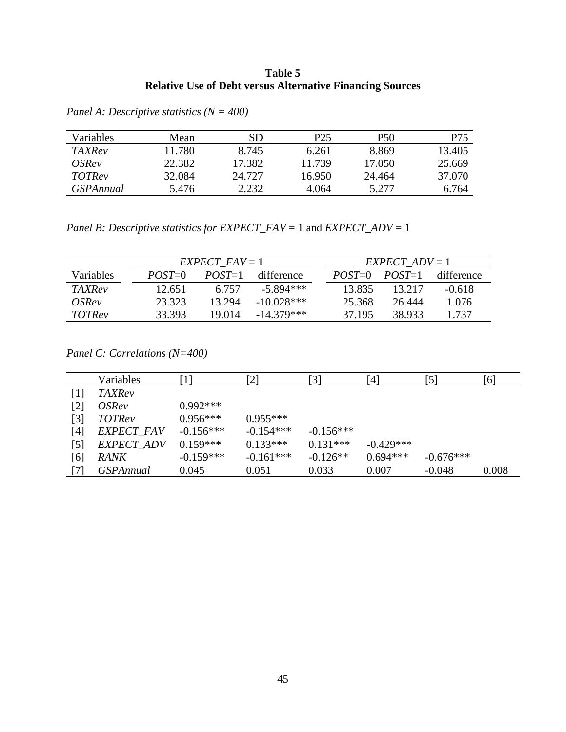## **Table 5 Relative Use of Debt versus Alternative Financing Sources**

| <b>Variables</b> | Mean   | SD     | P25    | <b>P50</b> | P75    |
|------------------|--------|--------|--------|------------|--------|
| <i>TAXRev</i>    | 11.780 | 8.745  | 6.261  | 8.869      | 13.405 |
| <i>OSRev</i>     | 22.382 | 17.382 | 11.739 | 17.050     | 25.669 |
| <i>TOTRev</i>    | 32.084 | 24.727 | 16.950 | 24.464     | 37.070 |
| <i>GSPAnnual</i> | 5.476  | 2.232  | 4.064  | 5.277      | 6.764  |

*Panel A: Descriptive statistics (N = 400)*

*Panel B: Descriptive statistics for EXPECT\_FAV* = 1 and *EXPECT\_ADV* = 1

|                  | $EXPECT$ $FAV = 1$ |            |              |  | $EXPECT$ ADV = 1 |          |            |  |  |
|------------------|--------------------|------------|--------------|--|------------------|----------|------------|--|--|
| <b>Variables</b> | $POST=0$           | $POST = 1$ | difference   |  | $POST = 0$       | $POST=1$ | difference |  |  |
| <b>TAXRev</b>    | 12.651             | 6.757      | $-5.894***$  |  | 13.835           | 13 217   | $-0.618$   |  |  |
| <i>OSRev</i>     | 23.323             | 13 294     | $-10.028***$ |  | 25.368           | 26.444   | 1.076      |  |  |
| <i>TOTRev</i>    | 33.393             | 19.014     | $-14.379***$ |  | 37.195           | 38.933   | 1.737      |  |  |

*Panel C: Correlations (N=400)*

|                   | Variables        | $\lceil 1 \rceil$ | [2]         | [3]         | [4]         | [5]         | [6]   |
|-------------------|------------------|-------------------|-------------|-------------|-------------|-------------|-------|
| [1]               | <b>TAXRev</b>    |                   |             |             |             |             |       |
| $\lceil 2 \rceil$ | <i>OSRev</i>     | $0.992***$        |             |             |             |             |       |
| [3]               | <b>TOTRev</b>    | $0.956***$        | $0.955***$  |             |             |             |       |
| [4]               | EXPECT_FAV       | $-0.156***$       | $-0.154***$ | $-0.156***$ |             |             |       |
| $\lceil 5 \rceil$ | EXPECT_ADV       | $0.159***$        | $0.133***$  | $0.131***$  | $-0.429***$ |             |       |
| [6]               | <b>RANK</b>      | $-0.159***$       | $-0.161***$ | $-0.126**$  | $0.694***$  | $-0.676***$ |       |
| [7]               | <b>GSPAnnual</b> | 0.045             | 0.051       | 0.033       | 0.007       | $-0.048$    | 0.008 |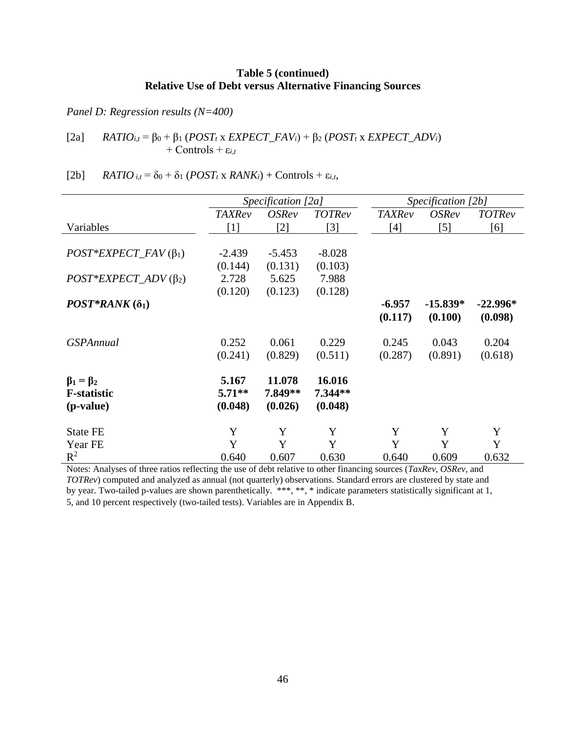## **Table 5 (continued) Relative Use of Debt versus Alternative Financing Sources**

*Panel D: Regression results (N=400)*

[2a] *RATIO<sub>i,t</sub>* = β<sub>0</sub> + β<sub>1</sub> (*POST<sub>t</sub>* x *EXPECT\_FAV<sub>i</sub>*) + β<sub>2</sub> (*POST<sub>t</sub>* x *EXPECT\_ADV<sub>i</sub>*) + Controls +  $\varepsilon_{i,t}$ 

[2b]  $RATIO_{i,t} = \delta_0 + \delta_1 (POST_t \times RANK_i) + Controls + \varepsilon_{i,t}$ ,

|                             | Specification [2a] |                     |               |               | Specification [2b] |               |
|-----------------------------|--------------------|---------------------|---------------|---------------|--------------------|---------------|
|                             | <b>TAXRev</b>      | <i><b>OSRev</b></i> | <b>TOTRev</b> | <b>TAXRev</b> | <i>OSRev</i>       | <b>TOTRev</b> |
| Variables                   | $[1]$              | $[2]$               | $[3]$         | $[4]$         | $[5]$              | [6]           |
|                             |                    |                     |               |               |                    |               |
| $POST*EXPECT\_FAV(\beta_1)$ | $-2.439$           | $-5.453$            | $-8.028$      |               |                    |               |
|                             | (0.144)            | (0.131)             | (0.103)       |               |                    |               |
| $POST*EXPECT\_ADV(\beta_2)$ | 2.728              | 5.625               | 7.988         |               |                    |               |
|                             | (0.120)            | (0.123)             | (0.128)       |               |                    |               |
| $POST*RANK(δ1)$             |                    |                     |               | $-6.957$      | $-15.839*$         | $-22.996*$    |
|                             |                    |                     |               | (0.117)       | (0.100)            | (0.098)       |
|                             |                    |                     |               |               |                    |               |
| <b>GSPAnnual</b>            | 0.252              | 0.061               | 0.229         | 0.245         | 0.043              | 0.204         |
|                             | (0.241)            | (0.829)             | (0.511)       | (0.287)       | (0.891)            | (0.618)       |
| $\beta_1 = \beta_2$         | 5.167              | 11.078              | 16.016        |               |                    |               |
| <b>F-statistic</b>          | $5.71**$           | 7.849**             | 7.344**       |               |                    |               |
| (p-value)                   | (0.048)            | (0.026)             | (0.048)       |               |                    |               |
|                             |                    |                     |               |               |                    |               |
| <b>State FE</b>             | Y                  | Y                   | Y             | Y             | Y                  | Y             |
| Year FE                     | Y                  | Y                   | Y             | Y             | Y                  | Y             |
| $R^2$                       | 0.640              | 0.607               | 0.630         | 0.640         | 0.609              | 0.632         |

Notes: Analyses of three ratios reflecting the use of debt relative to other financing sources (*TaxRev*, *OSRev*, and *TOTRev*) computed and analyzed as annual (not quarterly) observations. Standard errors are clustered by state and by year. Two-tailed p-values are shown parenthetically. \*\*\*, \*\*, \* indicate parameters statistically significant at 1, 5, and 10 percent respectively (two-tailed tests). Variables are in Appendix B.